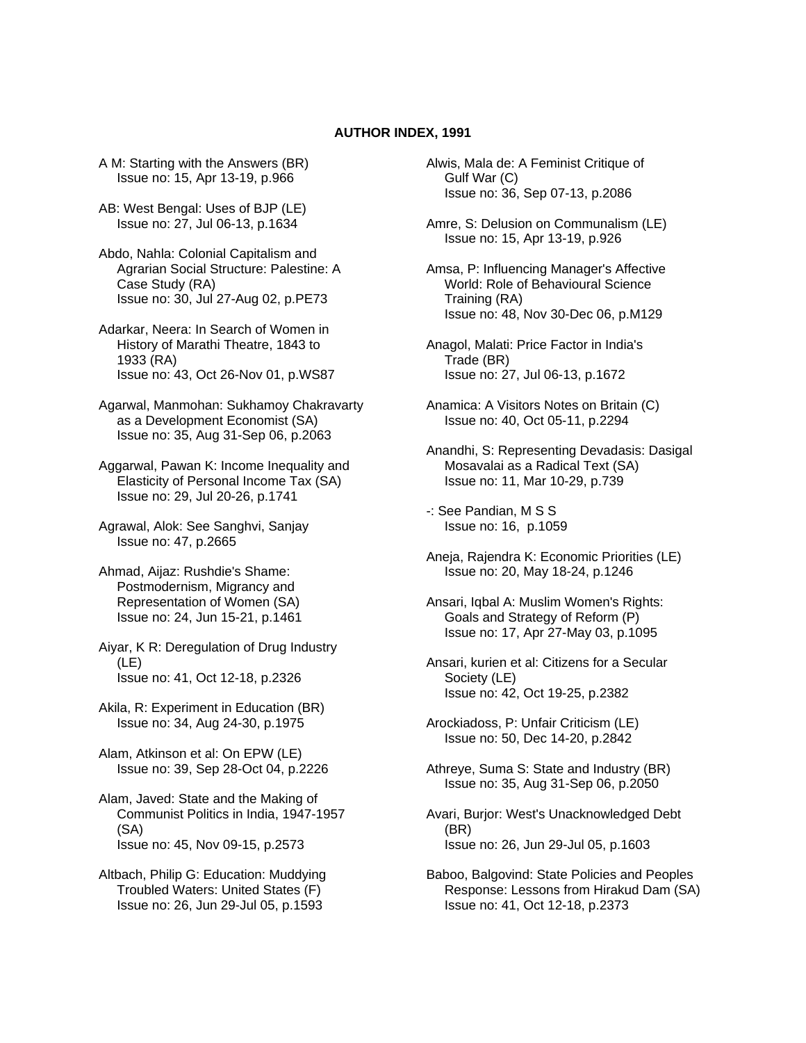## **AUTHOR INDEX, 1991**

A M: Starting with the Answers (BR) Issue no: 15, Apr 13-19, p.966

- AB: West Bengal: Uses of BJP (LE) Issue no: 27, Jul 06-13, p.1634
- Abdo, Nahla: Colonial Capitalism and Agrarian Social Structure: Palestine: A Case Study (RA) Issue no: 30, Jul 27-Aug 02, p.PE73
- Adarkar, Neera: In Search of Women in History of Marathi Theatre, 1843 to 1933 (RA) Issue no: 43, Oct 26-Nov 01, p.WS87
- Agarwal, Manmohan: Sukhamoy Chakravarty as a Development Economist (SA) Issue no: 35, Aug 31-Sep 06, p.2063
- Aggarwal, Pawan K: Income Inequality and Elasticity of Personal Income Tax (SA) Issue no: 29, Jul 20-26, p.1741
- Agrawal, Alok: See Sanghvi, Sanjay Issue no: 47, p.2665
- Ahmad, Aijaz: Rushdie's Shame: Postmodernism, Migrancy and Representation of Women (SA) Issue no: 24, Jun 15-21, p.1461
- Aiyar, K R: Deregulation of Drug Industry (LE) Issue no: 41, Oct 12-18, p.2326
- Akila, R: Experiment in Education (BR) Issue no: 34, Aug 24-30, p.1975
- Alam, Atkinson et al: On EPW (LE) Issue no: 39, Sep 28-Oct 04, p.2226
- Alam, Javed: State and the Making of Communist Politics in India, 1947-1957 (SA) Issue no: 45, Nov 09-15, p.2573
- Altbach, Philip G: Education: Muddying Troubled Waters: United States (F) Issue no: 26, Jun 29-Jul 05, p.1593
- Alwis, Mala de: A Feminist Critique of Gulf War (C) Issue no: 36, Sep 07-13, p.2086
- Amre, S: Delusion on Communalism (LE) Issue no: 15, Apr 13-19, p.926
- Amsa, P: Influencing Manager's Affective World: Role of Behavioural Science Training (RA) Issue no: 48, Nov 30-Dec 06, p.M129
- Anagol, Malati: Price Factor in India's Trade (BR) Issue no: 27, Jul 06-13, p.1672
- Anamica: A Visitors Notes on Britain (C) Issue no: 40, Oct 05-11, p.2294
- Anandhi, S: Representing Devadasis: Dasigal Mosavalai as a Radical Text (SA) Issue no: 11, Mar 10-29, p.739
- -: See Pandian, M S S Issue no: 16, p.1059
- Aneja, Rajendra K: Economic Priorities (LE) Issue no: 20, May 18-24, p.1246
- Ansari, Iqbal A: Muslim Women's Rights: Goals and Strategy of Reform (P) Issue no: 17, Apr 27-May 03, p.1095
- Ansari, kurien et al: Citizens for a Secular Society (LE) Issue no: 42, Oct 19-25, p.2382
- Arockiadoss, P: Unfair Criticism (LE) Issue no: 50, Dec 14-20, p.2842
- Athreye, Suma S: State and Industry (BR) Issue no: 35, Aug 31-Sep 06, p.2050
- Avari, Burjor: West's Unacknowledged Debt (BR) Issue no: 26, Jun 29-Jul 05, p.1603
- Baboo, Balgovind: State Policies and Peoples Response: Lessons from Hirakud Dam (SA) Issue no: 41, Oct 12-18, p.2373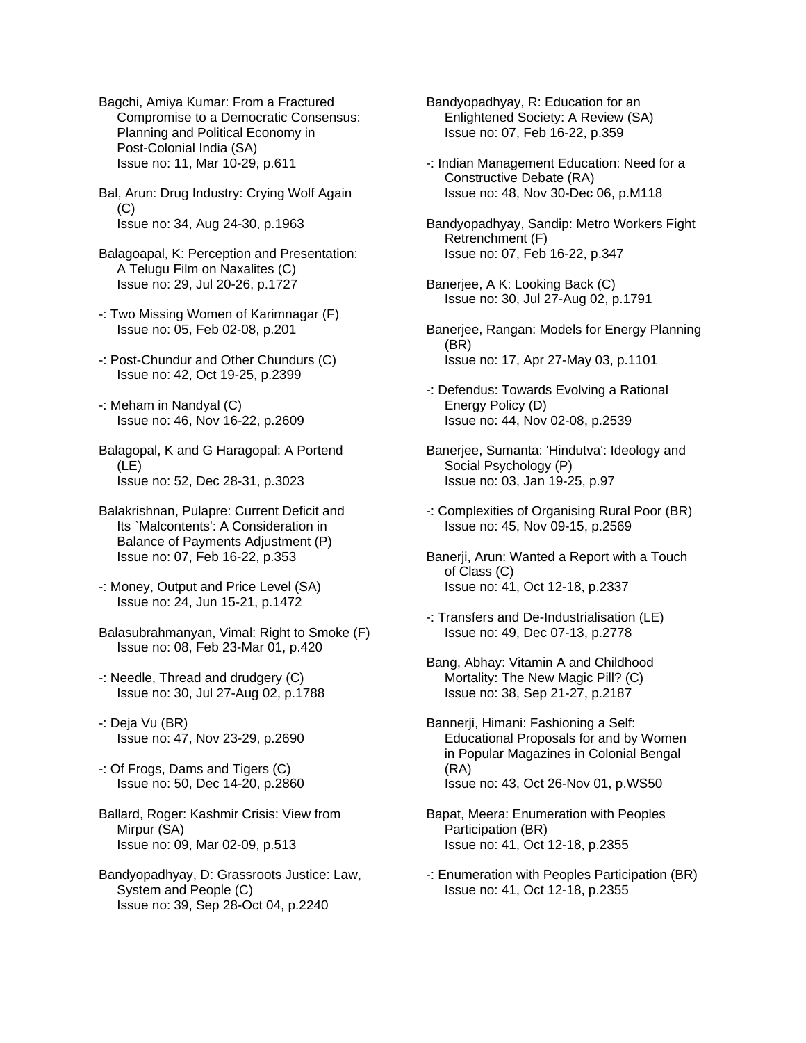Bagchi, Amiya Kumar: From a Fractured Compromise to a Democratic Consensus: Planning and Political Economy in Post-Colonial India (SA) Issue no: 11, Mar 10-29, p.611

Bal, Arun: Drug Industry: Crying Wolf Again (C) Issue no: 34, Aug 24-30, p.1963

Balagoapal, K: Perception and Presentation: A Telugu Film on Naxalites (C) Issue no: 29, Jul 20-26, p.1727

- -: Two Missing Women of Karimnagar (F) Issue no: 05, Feb 02-08, p.201
- -: Post-Chundur and Other Chundurs (C) Issue no: 42, Oct 19-25, p.2399
- -: Meham in Nandyal (C) Issue no: 46, Nov 16-22, p.2609

Balagopal, K and G Haragopal: A Portend (LE) Issue no: 52, Dec 28-31, p.3023

- Balakrishnan, Pulapre: Current Deficit and Its `Malcontents': A Consideration in Balance of Payments Adjustment (P) Issue no: 07, Feb 16-22, p.353
- -: Money, Output and Price Level (SA) Issue no: 24, Jun 15-21, p.1472
- Balasubrahmanyan, Vimal: Right to Smoke (F) Issue no: 08, Feb 23-Mar 01, p.420
- -: Needle, Thread and drudgery (C) Issue no: 30, Jul 27-Aug 02, p.1788
- -: Deja Vu (BR) Issue no: 47, Nov 23-29, p.2690
- -: Of Frogs, Dams and Tigers (C) Issue no: 50, Dec 14-20, p.2860
- Ballard, Roger: Kashmir Crisis: View from Mirpur (SA) Issue no: 09, Mar 02-09, p.513
- Bandyopadhyay, D: Grassroots Justice: Law, System and People (C) Issue no: 39, Sep 28-Oct 04, p.2240

Bandyopadhyay, R: Education for an Enlightened Society: A Review (SA) Issue no: 07, Feb 16-22, p.359

-: Indian Management Education: Need for a Constructive Debate (RA) Issue no: 48, Nov 30-Dec 06, p.M118

Bandyopadhyay, Sandip: Metro Workers Fight Retrenchment (F) Issue no: 07, Feb 16-22, p.347

Banerjee, A K: Looking Back (C) Issue no: 30, Jul 27-Aug 02, p.1791

Banerjee, Rangan: Models for Energy Planning (BR) Issue no: 17, Apr 27-May 03, p.1101

- -: Defendus: Towards Evolving a Rational Energy Policy (D) Issue no: 44, Nov 02-08, p.2539
- Banerjee, Sumanta: 'Hindutva': Ideology and Social Psychology (P) Issue no: 03, Jan 19-25, p.97
- -: Complexities of Organising Rural Poor (BR) Issue no: 45, Nov 09-15, p.2569
- Banerji, Arun: Wanted a Report with a Touch of Class (C) Issue no: 41, Oct 12-18, p.2337
- -: Transfers and De-Industrialisation (LE) Issue no: 49, Dec 07-13, p.2778

Bang, Abhay: Vitamin A and Childhood Mortality: The New Magic Pill? (C) Issue no: 38, Sep 21-27, p.2187

- Bannerji, Himani: Fashioning a Self: Educational Proposals for and by Women in Popular Magazines in Colonial Bengal (RA) Issue no: 43, Oct 26-Nov 01, p.WS50
- Bapat, Meera: Enumeration with Peoples Participation (BR) Issue no: 41, Oct 12-18, p.2355
- -: Enumeration with Peoples Participation (BR) Issue no: 41, Oct 12-18, p.2355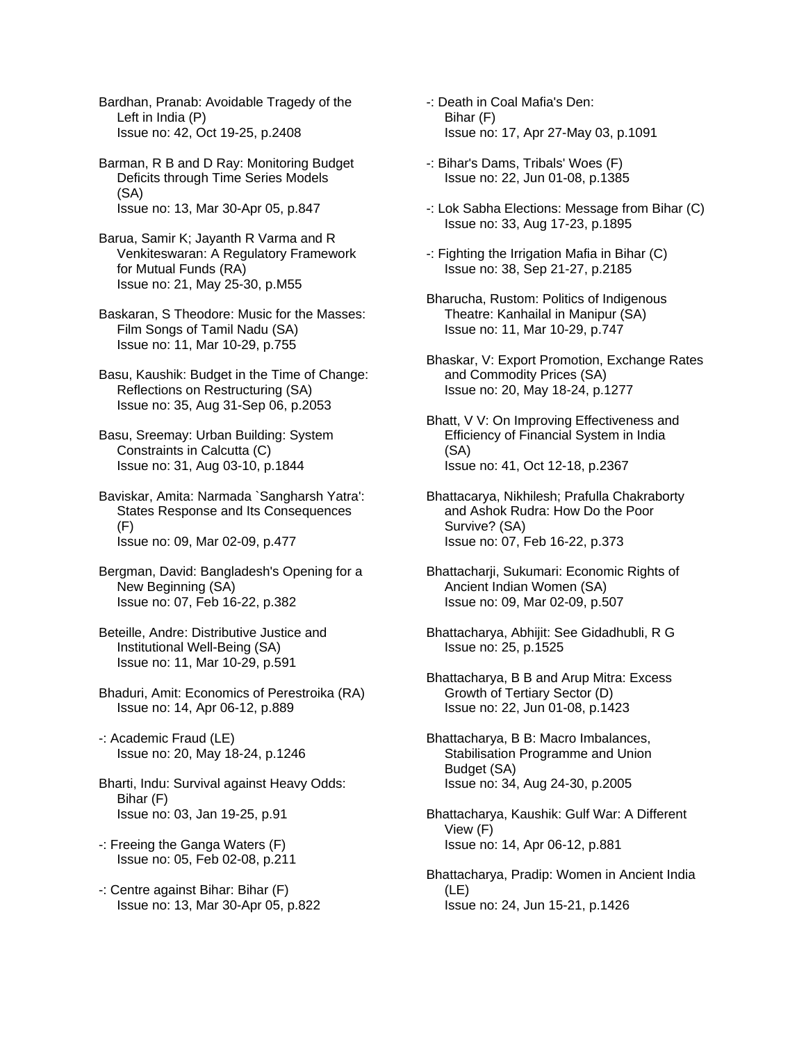Bardhan, Pranab: Avoidable Tragedy of the Left in India (P) Issue no: 42, Oct 19-25, p.2408

Barman, R B and D Ray: Monitoring Budget Deficits through Time Series Models (SA) Issue no: 13, Mar 30-Apr 05, p.847

Barua, Samir K; Jayanth R Varma and R Venkiteswaran: A Regulatory Framework for Mutual Funds (RA) Issue no: 21, May 25-30, p.M55

Baskaran, S Theodore: Music for the Masses: Film Songs of Tamil Nadu (SA) Issue no: 11, Mar 10-29, p.755

Basu, Kaushik: Budget in the Time of Change: Reflections on Restructuring (SA) Issue no: 35, Aug 31-Sep 06, p.2053

Basu, Sreemay: Urban Building: System Constraints in Calcutta (C) Issue no: 31, Aug 03-10, p.1844

Baviskar, Amita: Narmada `Sangharsh Yatra': States Response and Its Consequences (F) Issue no: 09, Mar 02-09, p.477

Bergman, David: Bangladesh's Opening for a New Beginning (SA) Issue no: 07, Feb 16-22, p.382

Beteille, Andre: Distributive Justice and Institutional Well-Being (SA) Issue no: 11, Mar 10-29, p.591

Bhaduri, Amit: Economics of Perestroika (RA) Issue no: 14, Apr 06-12, p.889

-: Academic Fraud (LE) Issue no: 20, May 18-24, p.1246

Bharti, Indu: Survival against Heavy Odds: Bihar (F) Issue no: 03, Jan 19-25, p.91

-: Freeing the Ganga Waters (F) Issue no: 05, Feb 02-08, p.211

-: Centre against Bihar: Bihar (F) Issue no: 13, Mar 30-Apr 05, p.822 -: Death in Coal Mafia's Den: Bihar (F) Issue no: 17, Apr 27-May 03, p.1091

-: Bihar's Dams, Tribals' Woes (F) Issue no: 22, Jun 01-08, p.1385

-: Lok Sabha Elections: Message from Bihar (C) Issue no: 33, Aug 17-23, p.1895

-: Fighting the Irrigation Mafia in Bihar (C) Issue no: 38, Sep 21-27, p.2185

Bharucha, Rustom: Politics of Indigenous Theatre: Kanhailal in Manipur (SA) Issue no: 11, Mar 10-29, p.747

Bhaskar, V: Export Promotion, Exchange Rates and Commodity Prices (SA) Issue no: 20, May 18-24, p.1277

Bhatt, V V: On Improving Effectiveness and Efficiency of Financial System in India (SA) Issue no: 41, Oct 12-18, p.2367

Bhattacarya, Nikhilesh; Prafulla Chakraborty and Ashok Rudra: How Do the Poor Survive? (SA) Issue no: 07, Feb 16-22, p.373

Bhattacharji, Sukumari: Economic Rights of Ancient Indian Women (SA) Issue no: 09, Mar 02-09, p.507

Bhattacharya, Abhijit: See Gidadhubli, R G Issue no: 25, p.1525

Bhattacharya, B B and Arup Mitra: Excess Growth of Tertiary Sector (D) Issue no: 22, Jun 01-08, p.1423

Bhattacharya, B B: Macro Imbalances, Stabilisation Programme and Union Budget (SA) Issue no: 34, Aug 24-30, p.2005

Bhattacharya, Kaushik: Gulf War: A Different View (F) Issue no: 14, Apr 06-12, p.881

Bhattacharya, Pradip: Women in Ancient India (LE) Issue no: 24, Jun 15-21, p.1426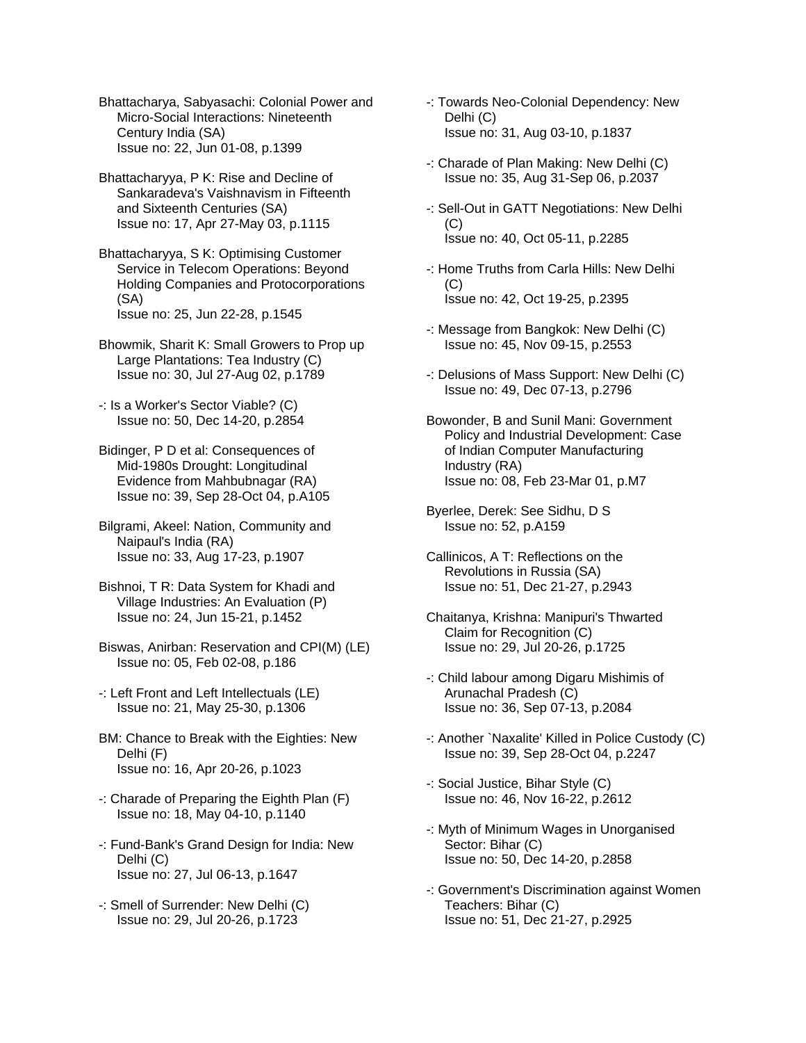Bhattacharya, Sabyasachi: Colonial Power and Micro-Social Interactions: Nineteenth Century India (SA) Issue no: 22, Jun 01-08, p.1399

Bhattacharyya, P K: Rise and Decline of Sankaradeva's Vaishnavism in Fifteenth and Sixteenth Centuries (SA) Issue no: 17, Apr 27-May 03, p.1115

Bhattacharyya, S K: Optimising Customer Service in Telecom Operations: Beyond Holding Companies and Protocorporations (SA) Issue no: 25, Jun 22-28, p.1545

Bhowmik, Sharit K: Small Growers to Prop up Large Plantations: Tea Industry (C) Issue no: 30, Jul 27-Aug 02, p.1789

-: Is a Worker's Sector Viable? (C) Issue no: 50, Dec 14-20, p.2854

Bidinger, P D et al: Consequences of Mid-1980s Drought: Longitudinal Evidence from Mahbubnagar (RA) Issue no: 39, Sep 28-Oct 04, p.A105

Bilgrami, Akeel: Nation, Community and Naipaul's India (RA) Issue no: 33, Aug 17-23, p.1907

Bishnoi, T R: Data System for Khadi and Village Industries: An Evaluation (P) Issue no: 24, Jun 15-21, p.1452

Biswas, Anirban: Reservation and CPI(M) (LE) Issue no: 05, Feb 02-08, p.186

-: Left Front and Left Intellectuals (LE) Issue no: 21, May 25-30, p.1306

BM: Chance to Break with the Eighties: New Delhi (F) Issue no: 16, Apr 20-26, p.1023

-: Charade of Preparing the Eighth Plan (F) Issue no: 18, May 04-10, p.1140

-: Fund-Bank's Grand Design for India: New Delhi (C) Issue no: 27, Jul 06-13, p.1647

-: Smell of Surrender: New Delhi (C) Issue no: 29, Jul 20-26, p.1723

- -: Towards Neo-Colonial Dependency: New Delhi (C) Issue no: 31, Aug 03-10, p.1837
- -: Charade of Plan Making: New Delhi (C) Issue no: 35, Aug 31-Sep 06, p.2037
- -: Sell-Out in GATT Negotiations: New Delhi (C) Issue no: 40, Oct 05-11, p.2285
- -: Home Truths from Carla Hills: New Delhi  $(C)$ Issue no: 42, Oct 19-25, p.2395
- -: Message from Bangkok: New Delhi (C) Issue no: 45, Nov 09-15, p.2553
- -: Delusions of Mass Support: New Delhi (C) Issue no: 49, Dec 07-13, p.2796
- Bowonder, B and Sunil Mani: Government Policy and Industrial Development: Case of Indian Computer Manufacturing Industry (RA) Issue no: 08, Feb 23-Mar 01, p.M7

Byerlee, Derek: See Sidhu, D S Issue no: 52, p.A159

Callinicos, A T: Reflections on the Revolutions in Russia (SA) Issue no: 51, Dec 21-27, p.2943

Chaitanya, Krishna: Manipuri's Thwarted Claim for Recognition (C) Issue no: 29, Jul 20-26, p.1725

-: Child labour among Digaru Mishimis of Arunachal Pradesh (C) Issue no: 36, Sep 07-13, p.2084

- -: Another `Naxalite' Killed in Police Custody (C) Issue no: 39, Sep 28-Oct 04, p.2247
- -: Social Justice, Bihar Style (C) Issue no: 46, Nov 16-22, p.2612
- -: Myth of Minimum Wages in Unorganised Sector: Bihar (C) Issue no: 50, Dec 14-20, p.2858
- -: Government's Discrimination against Women Teachers: Bihar (C) Issue no: 51, Dec 21-27, p.2925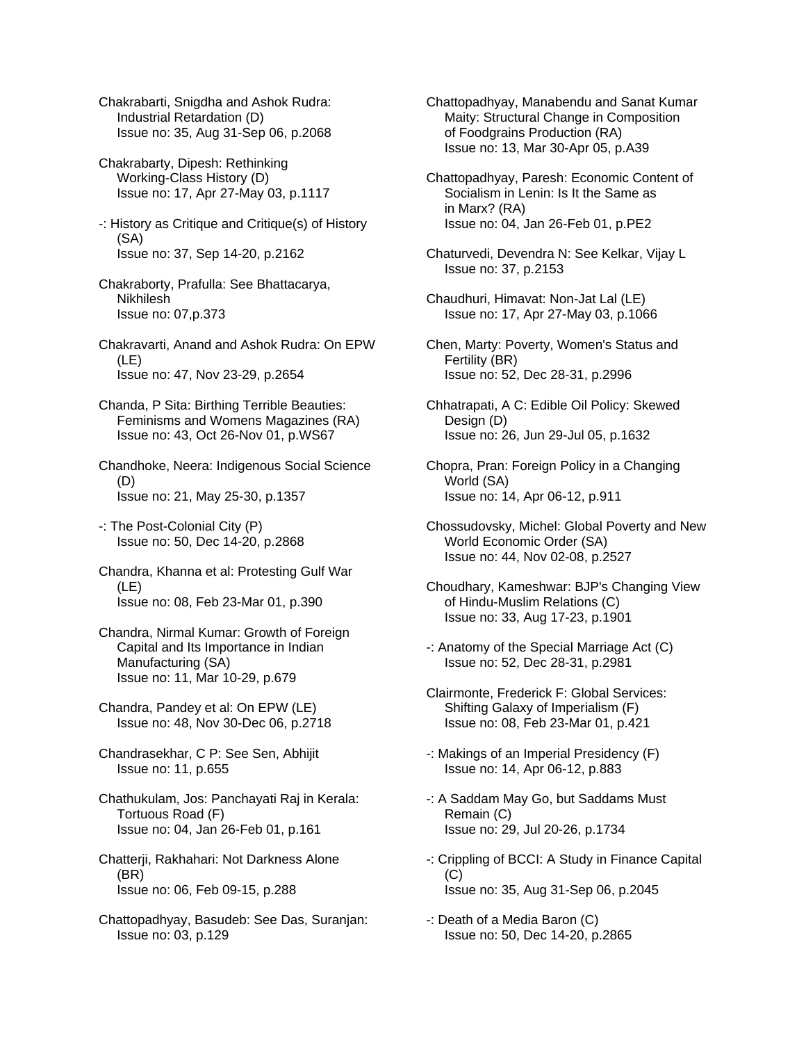Chakrabarti, Snigdha and Ashok Rudra: Industrial Retardation (D) Issue no: 35, Aug 31-Sep 06, p.2068

- Chakrabarty, Dipesh: Rethinking Working-Class History (D) Issue no: 17, Apr 27-May 03, p.1117
- -: History as Critique and Critique(s) of History (SA) Issue no: 37, Sep 14-20, p.2162
- Chakraborty, Prafulla: See Bhattacarya, Nikhilesh Issue no: 07,p.373
- Chakravarti, Anand and Ashok Rudra: On EPW (LE) Issue no: 47, Nov 23-29, p.2654
- Chanda, P Sita: Birthing Terrible Beauties: Feminisms and Womens Magazines (RA) Issue no: 43, Oct 26-Nov 01, p.WS67

Chandhoke, Neera: Indigenous Social Science (D) Issue no: 21, May 25-30, p.1357

- -: The Post-Colonial City (P) Issue no: 50, Dec 14-20, p.2868
- Chandra, Khanna et al: Protesting Gulf War (LE) Issue no: 08, Feb 23-Mar 01, p.390
- Chandra, Nirmal Kumar: Growth of Foreign Capital and Its Importance in Indian Manufacturing (SA) Issue no: 11, Mar 10-29, p.679
- Chandra, Pandey et al: On EPW (LE) Issue no: 48, Nov 30-Dec 06, p.2718
- Chandrasekhar, C P: See Sen, Abhijit Issue no: 11, p.655
- Chathukulam, Jos: Panchayati Raj in Kerala: Tortuous Road (F) Issue no: 04, Jan 26-Feb 01, p.161
- Chatterji, Rakhahari: Not Darkness Alone (BR) Issue no: 06, Feb 09-15, p.288
- Chattopadhyay, Basudeb: See Das, Suranjan: Issue no: 03, p.129

Chattopadhyay, Manabendu and Sanat Kumar Maity: Structural Change in Composition of Foodgrains Production (RA) Issue no: 13, Mar 30-Apr 05, p.A39

- Chattopadhyay, Paresh: Economic Content of Socialism in Lenin: Is It the Same as in Marx? (RA) Issue no: 04, Jan 26-Feb 01, p.PE2
- Chaturvedi, Devendra N: See Kelkar, Vijay L Issue no: 37, p.2153
- Chaudhuri, Himavat: Non-Jat Lal (LE) Issue no: 17, Apr 27-May 03, p.1066
- Chen, Marty: Poverty, Women's Status and Fertility (BR) Issue no: 52, Dec 28-31, p.2996
- Chhatrapati, A C: Edible Oil Policy: Skewed Design (D) Issue no: 26, Jun 29-Jul 05, p.1632
- Chopra, Pran: Foreign Policy in a Changing World (SA) Issue no: 14, Apr 06-12, p.911
- Chossudovsky, Michel: Global Poverty and New World Economic Order (SA) Issue no: 44, Nov 02-08, p.2527
- Choudhary, Kameshwar: BJP's Changing View of Hindu-Muslim Relations (C) Issue no: 33, Aug 17-23, p.1901
- -: Anatomy of the Special Marriage Act (C) Issue no: 52, Dec 28-31, p.2981
- Clairmonte, Frederick F: Global Services: Shifting Galaxy of Imperialism (F) Issue no: 08, Feb 23-Mar 01, p.421
- -: Makings of an Imperial Presidency (F) Issue no: 14, Apr 06-12, p.883
- -: A Saddam May Go, but Saddams Must Remain (C) Issue no: 29, Jul 20-26, p.1734
- -: Crippling of BCCI: A Study in Finance Capital (C) Issue no: 35, Aug 31-Sep 06, p.2045
- -: Death of a Media Baron (C) Issue no: 50, Dec 14-20, p.2865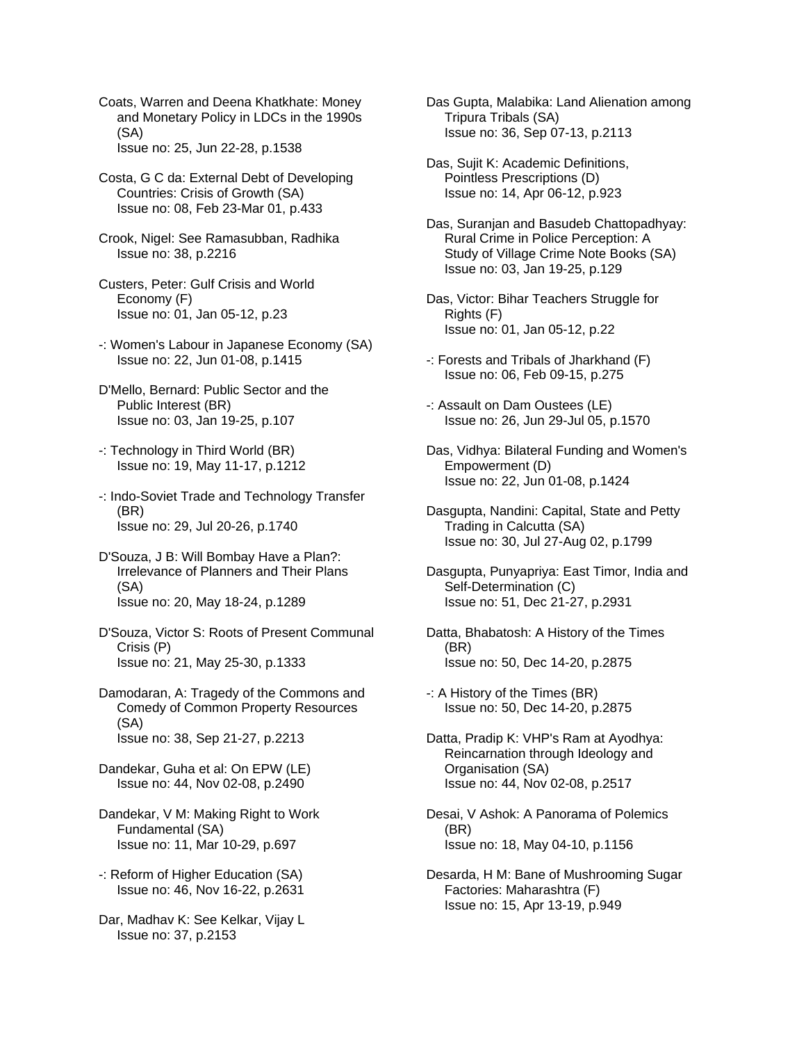Coats, Warren and Deena Khatkhate: Money and Monetary Policy in LDCs in the 1990s (SA) Issue no: 25, Jun 22-28, p.1538

Costa, G C da: External Debt of Developing Countries: Crisis of Growth (SA) Issue no: 08, Feb 23-Mar 01, p.433

Crook, Nigel: See Ramasubban, Radhika Issue no: 38, p.2216

- Custers, Peter: Gulf Crisis and World Economy (F) Issue no: 01, Jan 05-12, p.23
- -: Women's Labour in Japanese Economy (SA) Issue no: 22, Jun 01-08, p.1415
- D'Mello, Bernard: Public Sector and the Public Interest (BR) Issue no: 03, Jan 19-25, p.107
- -: Technology in Third World (BR) Issue no: 19, May 11-17, p.1212
- -: Indo-Soviet Trade and Technology Transfer (BR) Issue no: 29, Jul 20-26, p.1740

D'Souza, J B: Will Bombay Have a Plan?: Irrelevance of Planners and Their Plans (SA) Issue no: 20, May 18-24, p.1289

D'Souza, Victor S: Roots of Present Communal Crisis (P) Issue no: 21, May 25-30, p.1333

Damodaran, A: Tragedy of the Commons and Comedy of Common Property Resources (SA) Issue no: 38, Sep 21-27, p.2213

Dandekar, Guha et al: On EPW (LE) Issue no: 44, Nov 02-08, p.2490

Dandekar, V M: Making Right to Work Fundamental (SA) Issue no: 11, Mar 10-29, p.697

-: Reform of Higher Education (SA) Issue no: 46, Nov 16-22, p.2631

Dar, Madhav K: See Kelkar, Vijay L Issue no: 37, p.2153

Das Gupta, Malabika: Land Alienation among Tripura Tribals (SA) Issue no: 36, Sep 07-13, p.2113

Das, Sujit K: Academic Definitions, Pointless Prescriptions (D) Issue no: 14, Apr 06-12, p.923

Das, Suranjan and Basudeb Chattopadhyay: Rural Crime in Police Perception: A Study of Village Crime Note Books (SA) Issue no: 03, Jan 19-25, p.129

- Das, Victor: Bihar Teachers Struggle for Rights (F) Issue no: 01, Jan 05-12, p.22
- -: Forests and Tribals of Jharkhand (F) Issue no: 06, Feb 09-15, p.275
- -: Assault on Dam Oustees (LE) Issue no: 26, Jun 29-Jul 05, p.1570
- Das, Vidhya: Bilateral Funding and Women's Empowerment (D) Issue no: 22, Jun 01-08, p.1424

Dasgupta, Nandini: Capital, State and Petty Trading in Calcutta (SA) Issue no: 30, Jul 27-Aug 02, p.1799

Dasgupta, Punyapriya: East Timor, India and Self-Determination (C) Issue no: 51, Dec 21-27, p.2931

Datta, Bhabatosh: A History of the Times (BR) Issue no: 50, Dec 14-20, p.2875

-: A History of the Times (BR) Issue no: 50, Dec 14-20, p.2875

Datta, Pradip K: VHP's Ram at Ayodhya: Reincarnation through Ideology and Organisation (SA) Issue no: 44, Nov 02-08, p.2517

Desai, V Ashok: A Panorama of Polemics (BR) Issue no: 18, May 04-10, p.1156

Desarda, H M: Bane of Mushrooming Sugar Factories: Maharashtra (F) Issue no: 15, Apr 13-19, p.949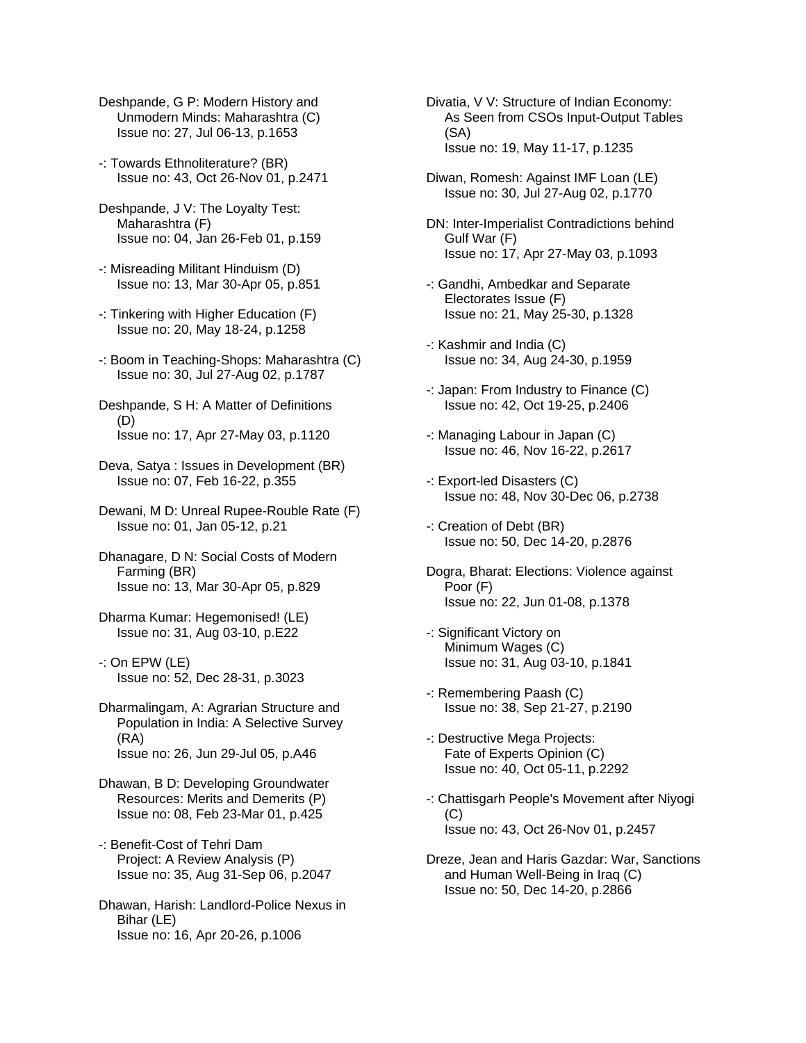- Deshpande, G P: Modern History and Unmodern Minds: Maharashtra (C) Issue no: 27, Jul 06-13, p.1653
- -: Towards Ethnoliterature? (BR) Issue no: 43, Oct 26-Nov 01, p.2471
- Deshpande, J V: The Loyalty Test: Maharashtra (F) Issue no: 04, Jan 26-Feb 01, p.159
- -: Misreading Militant Hinduism (D) Issue no: 13, Mar 30-Apr 05, p.851
- -: Tinkering with Higher Education (F) Issue no: 20, May 18-24, p.1258
- -: Boom in Teaching-Shops: Maharashtra (C) Issue no: 30, Jul 27-Aug 02, p.1787
- Deshpande, S H: A Matter of Definitions (D) Issue no: 17, Apr 27-May 03, p.1120
- Deva, Satya : Issues in Development (BR) Issue no: 07, Feb 16-22, p.355
- Dewani, M D: Unreal Rupee-Rouble Rate (F) Issue no: 01, Jan 05-12, p.21
- Dhanagare, D N: Social Costs of Modern Farming (BR) Issue no: 13, Mar 30-Apr 05, p.829
- Dharma Kumar: Hegemonised! (LE) Issue no: 31, Aug 03-10, p.E22
- -: On EPW (LE) Issue no: 52, Dec 28-31, p.3023
- Dharmalingam, A: Agrarian Structure and Population in India: A Selective Survey (RA) Issue no: 26, Jun 29-Jul 05, p.A46
- Dhawan, B D: Developing Groundwater Resources: Merits and Demerits (P) Issue no: 08, Feb 23-Mar 01, p.425
- -: Benefit-Cost of Tehri Dam Project: A Review Analysis (P) Issue no: 35, Aug 31-Sep 06, p.2047
- Dhawan, Harish: Landlord-Police Nexus in Bihar (LE) Issue no: 16, Apr 20-26, p.1006
- Divatia, V V: Structure of Indian Economy: As Seen from CSOs Input-Output Tables (SA) Issue no: 19, May 11-17, p.1235
- Diwan, Romesh: Against IMF Loan (LE) Issue no: 30, Jul 27-Aug 02, p.1770
- DN: Inter-Imperialist Contradictions behind Gulf War (F) Issue no: 17, Apr 27-May 03, p.1093
- -: Gandhi, Ambedkar and Separate Electorates Issue (F) Issue no: 21, May 25-30, p.1328
- -: Kashmir and India (C) Issue no: 34, Aug 24-30, p.1959
- -: Japan: From Industry to Finance (C) Issue no: 42, Oct 19-25, p.2406
- -: Managing Labour in Japan (C) Issue no: 46, Nov 16-22, p.2617
- -: Export-led Disasters (C) Issue no: 48, Nov 30-Dec 06, p.2738
- -: Creation of Debt (BR) Issue no: 50, Dec 14-20, p.2876
- Dogra, Bharat: Elections: Violence against Poor (F) Issue no: 22, Jun 01-08, p.1378
- -: Significant Victory on Minimum Wages (C) Issue no: 31, Aug 03-10, p.1841
- -: Remembering Paash (C) Issue no: 38, Sep 21-27, p.2190
- -: Destructive Mega Projects: Fate of Experts Opinion (C) Issue no: 40, Oct 05-11, p.2292
- -: Chattisgarh People's Movement after Niyogi (C) Issue no: 43, Oct 26-Nov 01, p.2457
- Dreze, Jean and Haris Gazdar: War, Sanctions and Human Well-Being in Iraq (C) Issue no: 50, Dec 14-20, p.2866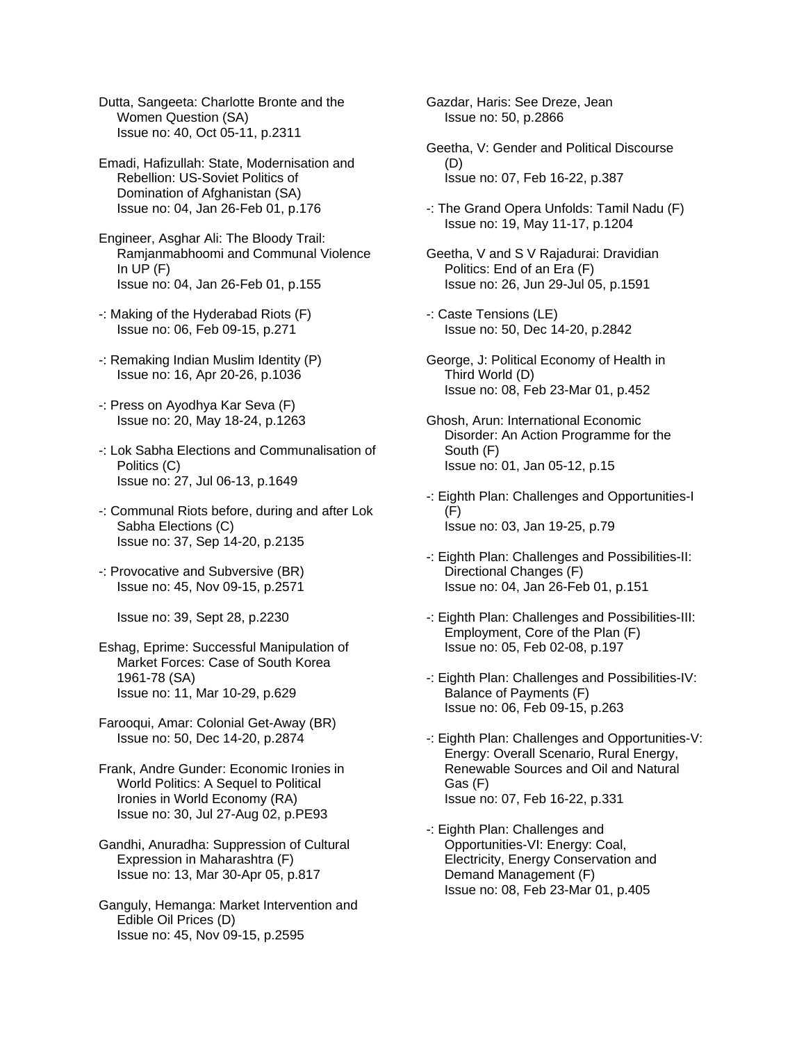Dutta, Sangeeta: Charlotte Bronte and the Women Question (SA) Issue no: 40, Oct 05-11, p.2311

Emadi, Hafizullah: State, Modernisation and Rebellion: US-Soviet Politics of Domination of Afghanistan (SA) Issue no: 04, Jan 26-Feb 01, p.176

Engineer, Asghar Ali: The Bloody Trail: Ramjanmabhoomi and Communal Violence In  $UP(F)$ Issue no: 04, Jan 26-Feb 01, p.155

- -: Making of the Hyderabad Riots (F) Issue no: 06, Feb 09-15, p.271
- -: Remaking Indian Muslim Identity (P) Issue no: 16, Apr 20-26, p.1036
- -: Press on Ayodhya Kar Seva (F) Issue no: 20, May 18-24, p.1263
- -: Lok Sabha Elections and Communalisation of Politics (C) Issue no: 27, Jul 06-13, p.1649
- -: Communal Riots before, during and after Lok Sabha Elections (C) Issue no: 37, Sep 14-20, p.2135
- -: Provocative and Subversive (BR) Issue no: 45, Nov 09-15, p.2571

Issue no: 39, Sept 28, p.2230

- Eshag, Eprime: Successful Manipulation of Market Forces: Case of South Korea 1961-78 (SA) Issue no: 11, Mar 10-29, p.629
- Farooqui, Amar: Colonial Get-Away (BR) Issue no: 50, Dec 14-20, p.2874
- Frank, Andre Gunder: Economic Ironies in World Politics: A Sequel to Political Ironies in World Economy (RA) Issue no: 30, Jul 27-Aug 02, p.PE93
- Gandhi, Anuradha: Suppression of Cultural Expression in Maharashtra (F) Issue no: 13, Mar 30-Apr 05, p.817
- Ganguly, Hemanga: Market Intervention and Edible Oil Prices (D) Issue no: 45, Nov 09-15, p.2595

Gazdar, Haris: See Dreze, Jean Issue no: 50, p.2866

- Geetha, V: Gender and Political Discourse (D) Issue no: 07, Feb 16-22, p.387
- -: The Grand Opera Unfolds: Tamil Nadu (F) Issue no: 19, May 11-17, p.1204
- Geetha, V and S V Rajadurai: Dravidian Politics: End of an Era (F) Issue no: 26, Jun 29-Jul 05, p.1591
- -: Caste Tensions (LE) Issue no: 50, Dec 14-20, p.2842
- George, J: Political Economy of Health in Third World (D) Issue no: 08, Feb 23-Mar 01, p.452
- Ghosh, Arun: International Economic Disorder: An Action Programme for the South (F) Issue no: 01, Jan 05-12, p.15
- -: Eighth Plan: Challenges and Opportunities-I  $(F)$ Issue no: 03, Jan 19-25, p.79
- -: Eighth Plan: Challenges and Possibilities-II: Directional Changes (F) Issue no: 04, Jan 26-Feb 01, p.151
- -: Eighth Plan: Challenges and Possibilities-III: Employment, Core of the Plan (F) Issue no: 05, Feb 02-08, p.197
- -: Eighth Plan: Challenges and Possibilities-IV: Balance of Payments (F) Issue no: 06, Feb 09-15, p.263
- -: Eighth Plan: Challenges and Opportunities-V: Energy: Overall Scenario, Rural Energy, Renewable Sources and Oil and Natural Gas (F) Issue no: 07, Feb 16-22, p.331
- -: Eighth Plan: Challenges and Opportunities-VI: Energy: Coal, Electricity, Energy Conservation and Demand Management (F) Issue no: 08, Feb 23-Mar 01, p.405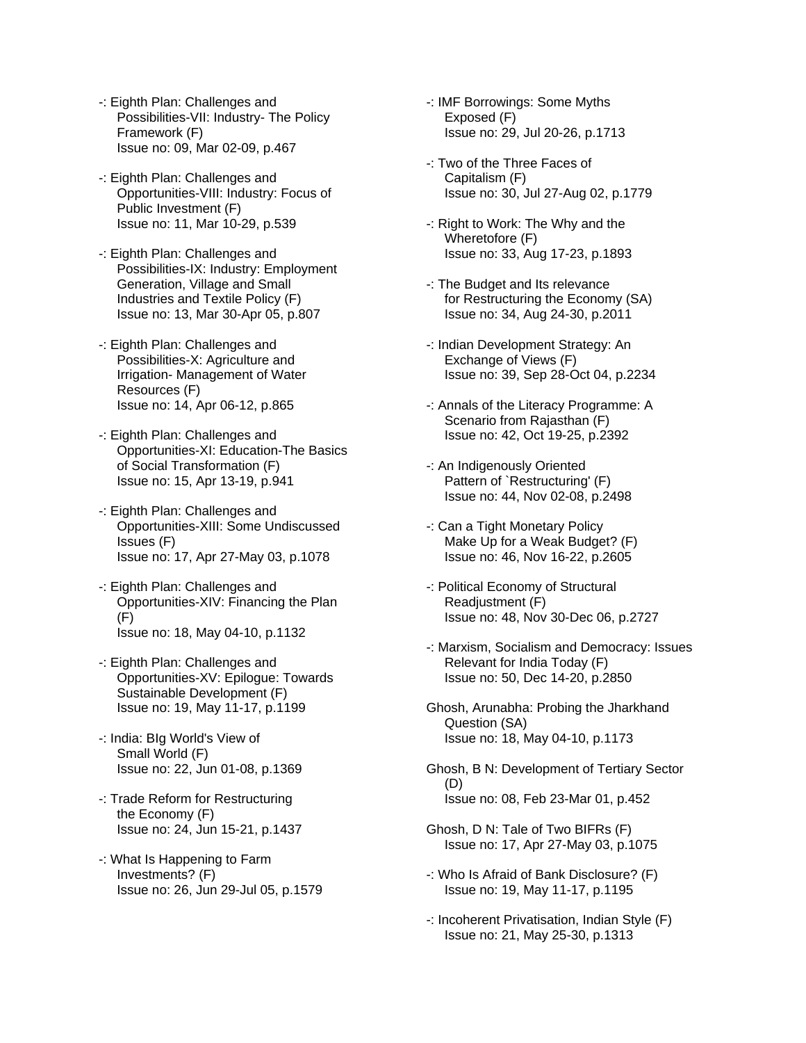- -: Eighth Plan: Challenges and Possibilities-VII: Industry- The Policy Framework (F) Issue no: 09, Mar 02-09, p.467
- -: Eighth Plan: Challenges and Opportunities-VIII: Industry: Focus of Public Investment (F) Issue no: 11, Mar 10-29, p.539
- -: Eighth Plan: Challenges and Possibilities-IX: Industry: Employment Generation, Village and Small Industries and Textile Policy (F) Issue no: 13, Mar 30-Apr 05, p.807
- -: Eighth Plan: Challenges and Possibilities-X: Agriculture and Irrigation- Management of Water Resources (F) Issue no: 14, Apr 06-12, p.865
- -: Eighth Plan: Challenges and Opportunities-XI: Education-The Basics of Social Transformation (F) Issue no: 15, Apr 13-19, p.941
- -: Eighth Plan: Challenges and Opportunities-XIII: Some Undiscussed Issues (F) Issue no: 17, Apr 27-May 03, p.1078
- -: Eighth Plan: Challenges and Opportunities-XIV: Financing the Plan (F) Issue no: 18, May 04-10, p.1132
- -: Eighth Plan: Challenges and Opportunities-XV: Epilogue: Towards Sustainable Development (F) Issue no: 19, May 11-17, p.1199
- -: India: BIg World's View of Small World (F) Issue no: 22, Jun 01-08, p.1369
- -: Trade Reform for Restructuring the Economy (F) Issue no: 24, Jun 15-21, p.1437
- -: What Is Happening to Farm Investments? (F) Issue no: 26, Jun 29-Jul 05, p.1579
- -: IMF Borrowings: Some Myths Exposed (F) Issue no: 29, Jul 20-26, p.1713
- -: Two of the Three Faces of Capitalism (F) Issue no: 30, Jul 27-Aug 02, p.1779
- -: Right to Work: The Why and the Wheretofore (F) Issue no: 33, Aug 17-23, p.1893
- -: The Budget and Its relevance for Restructuring the Economy (SA) Issue no: 34, Aug 24-30, p.2011
- -: Indian Development Strategy: An Exchange of Views (F) Issue no: 39, Sep 28-Oct 04, p.2234
- -: Annals of the Literacy Programme: A Scenario from Rajasthan (F) Issue no: 42, Oct 19-25, p.2392
- -: An Indigenously Oriented Pattern of `Restructuring' (F) Issue no: 44, Nov 02-08, p.2498
- -: Can a Tight Monetary Policy Make Up for a Weak Budget? (F) Issue no: 46, Nov 16-22, p.2605
- -: Political Economy of Structural Readjustment (F) Issue no: 48, Nov 30-Dec 06, p.2727
- -: Marxism, Socialism and Democracy: Issues Relevant for India Today (F) Issue no: 50, Dec 14-20, p.2850
- Ghosh, Arunabha: Probing the Jharkhand Question (SA) Issue no: 18, May 04-10, p.1173
- Ghosh, B N: Development of Tertiary Sector (D) Issue no: 08, Feb 23-Mar 01, p.452
- Ghosh, D N: Tale of Two BIFRs (F) Issue no: 17, Apr 27-May 03, p.1075
- -: Who Is Afraid of Bank Disclosure? (F) Issue no: 19, May 11-17, p.1195
- -: Incoherent Privatisation, Indian Style (F) Issue no: 21, May 25-30, p.1313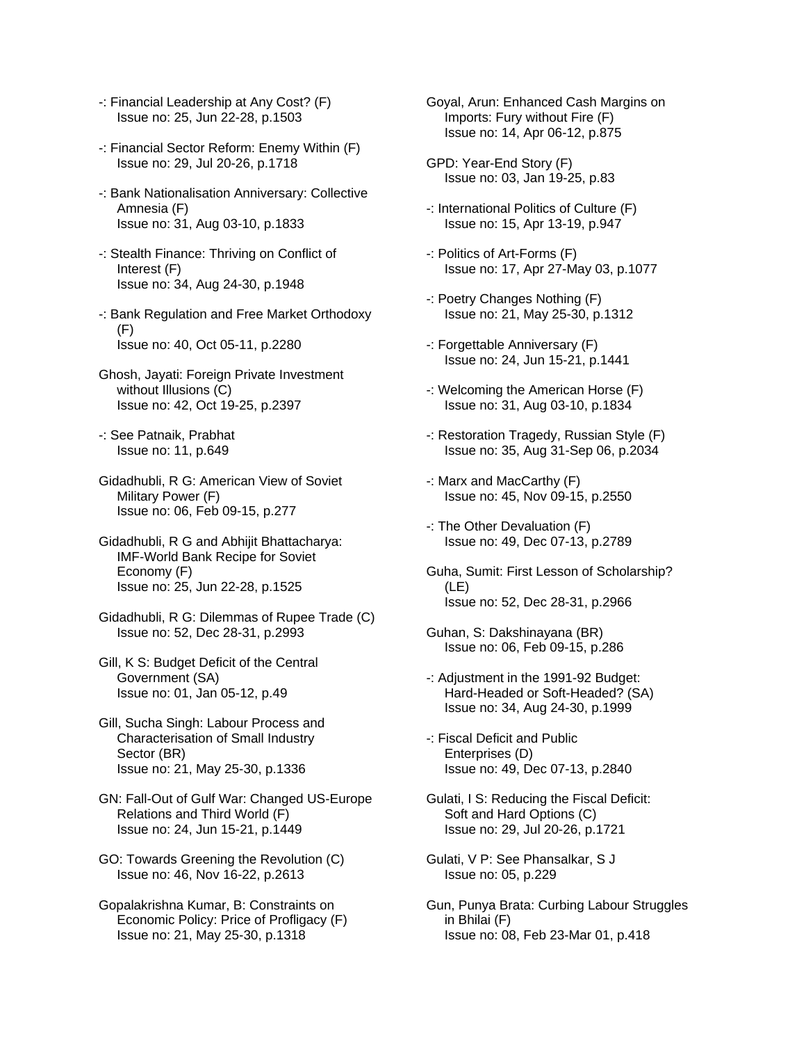- -: Financial Leadership at Any Cost? (F) Issue no: 25, Jun 22-28, p.1503
- -: Financial Sector Reform: Enemy Within (F) Issue no: 29, Jul 20-26, p.1718
- -: Bank Nationalisation Anniversary: Collective Amnesia (F) Issue no: 31, Aug 03-10, p.1833
- -: Stealth Finance: Thriving on Conflict of Interest (F) Issue no: 34, Aug 24-30, p.1948
- -: Bank Regulation and Free Market Orthodoxy (F) Issue no: 40, Oct 05-11, p.2280
- Ghosh, Jayati: Foreign Private Investment without Illusions (C) Issue no: 42, Oct 19-25, p.2397
- -: See Patnaik, Prabhat Issue no: 11, p.649
- Gidadhubli, R G: American View of Soviet Military Power (F) Issue no: 06, Feb 09-15, p.277
- Gidadhubli, R G and Abhijit Bhattacharya: IMF-World Bank Recipe for Soviet Economy (F) Issue no: 25, Jun 22-28, p.1525
- Gidadhubli, R G: Dilemmas of Rupee Trade (C) Issue no: 52, Dec 28-31, p.2993
- Gill, K S: Budget Deficit of the Central Government (SA) Issue no: 01, Jan 05-12, p.49
- Gill, Sucha Singh: Labour Process and Characterisation of Small Industry Sector (BR) Issue no: 21, May 25-30, p.1336
- GN: Fall-Out of Gulf War: Changed US-Europe Relations and Third World (F) Issue no: 24, Jun 15-21, p.1449
- GO: Towards Greening the Revolution (C) Issue no: 46, Nov 16-22, p.2613
- Gopalakrishna Kumar, B: Constraints on Economic Policy: Price of Profligacy (F) Issue no: 21, May 25-30, p.1318
- Goyal, Arun: Enhanced Cash Margins on Imports: Fury without Fire (F) Issue no: 14, Apr 06-12, p.875
- GPD: Year-End Story (F) Issue no: 03, Jan 19-25, p.83
- -: International Politics of Culture (F) Issue no: 15, Apr 13-19, p.947
- -: Politics of Art-Forms (F) Issue no: 17, Apr 27-May 03, p.1077
- -: Poetry Changes Nothing (F) Issue no: 21, May 25-30, p.1312
- -: Forgettable Anniversary (F) Issue no: 24, Jun 15-21, p.1441
- -: Welcoming the American Horse (F) Issue no: 31, Aug 03-10, p.1834
- -: Restoration Tragedy, Russian Style (F) Issue no: 35, Aug 31-Sep 06, p.2034
- -: Marx and MacCarthy (F) Issue no: 45, Nov 09-15, p.2550
- -: The Other Devaluation (F) Issue no: 49, Dec 07-13, p.2789
- Guha, Sumit: First Lesson of Scholarship? (LE) Issue no: 52, Dec 28-31, p.2966
- Guhan, S: Dakshinayana (BR) Issue no: 06, Feb 09-15, p.286
- -: Adjustment in the 1991-92 Budget: Hard-Headed or Soft-Headed? (SA) Issue no: 34, Aug 24-30, p.1999
- -: Fiscal Deficit and Public Enterprises (D) Issue no: 49, Dec 07-13, p.2840
- Gulati, I S: Reducing the Fiscal Deficit: Soft and Hard Options (C) Issue no: 29, Jul 20-26, p.1721
- Gulati, V P: See Phansalkar, S J Issue no: 05, p.229
- Gun, Punya Brata: Curbing Labour Struggles in Bhilai (F) Issue no: 08, Feb 23-Mar 01, p.418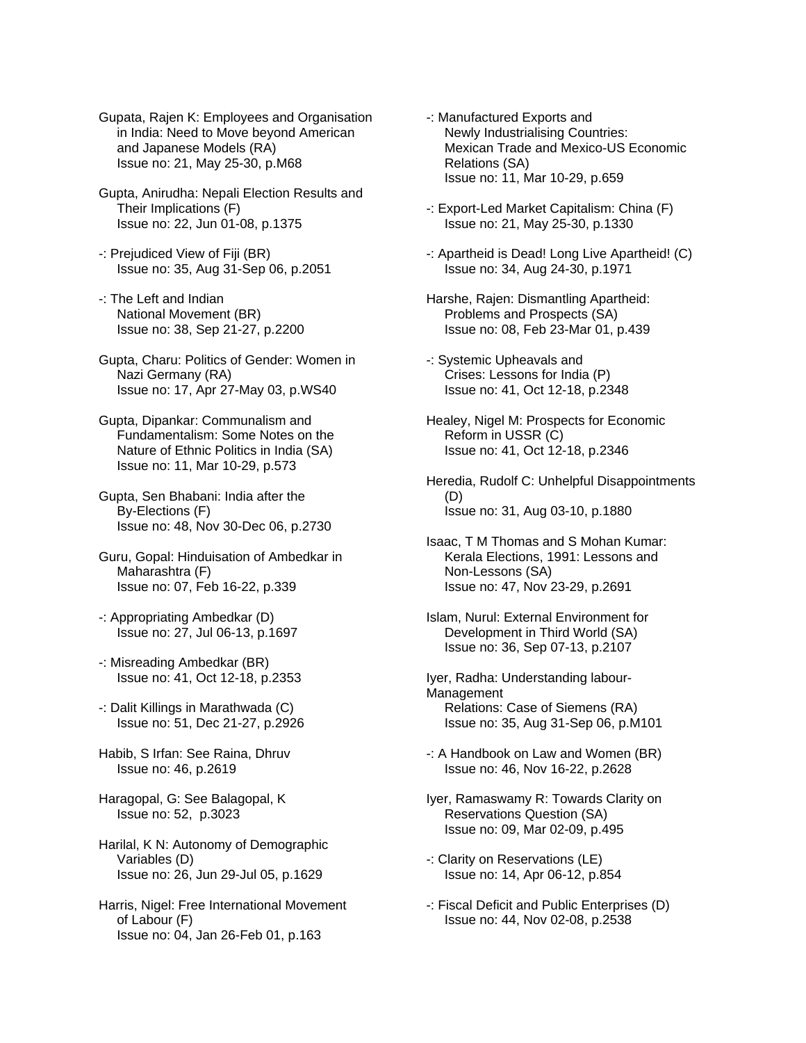Gupata, Rajen K: Employees and Organisation in India: Need to Move beyond American and Japanese Models (RA) Issue no: 21, May 25-30, p.M68

- Gupta, Anirudha: Nepali Election Results and Their Implications (F) Issue no: 22, Jun 01-08, p.1375
- -: Prejudiced View of Fiji (BR) Issue no: 35, Aug 31-Sep 06, p.2051
- -: The Left and Indian National Movement (BR) Issue no: 38, Sep 21-27, p.2200
- Gupta, Charu: Politics of Gender: Women in Nazi Germany (RA) Issue no: 17, Apr 27-May 03, p.WS40
- Gupta, Dipankar: Communalism and Fundamentalism: Some Notes on the Nature of Ethnic Politics in India (SA) Issue no: 11, Mar 10-29, p.573
- Gupta, Sen Bhabani: India after the By-Elections (F) Issue no: 48, Nov 30-Dec 06, p.2730
- Guru, Gopal: Hinduisation of Ambedkar in Maharashtra (F) Issue no: 07, Feb 16-22, p.339
- -: Appropriating Ambedkar (D) Issue no: 27, Jul 06-13, p.1697
- -: Misreading Ambedkar (BR) Issue no: 41, Oct 12-18, p.2353
- -: Dalit Killings in Marathwada (C) Issue no: 51, Dec 21-27, p.2926
- Habib, S Irfan: See Raina, Dhruv Issue no: 46, p.2619
- Haragopal, G: See Balagopal, K Issue no: 52, p.3023
- Harilal, K N: Autonomy of Demographic Variables (D) Issue no: 26, Jun 29-Jul 05, p.1629
- Harris, Nigel: Free International Movement of Labour (F) Issue no: 04, Jan 26-Feb 01, p.163
- -: Manufactured Exports and Newly Industrialising Countries: Mexican Trade and Mexico-US Economic Relations (SA) Issue no: 11, Mar 10-29, p.659
- -: Export-Led Market Capitalism: China (F) Issue no: 21, May 25-30, p.1330
- -: Apartheid is Dead! Long Live Apartheid! (C) Issue no: 34, Aug 24-30, p.1971
- Harshe, Rajen: Dismantling Apartheid: Problems and Prospects (SA) Issue no: 08, Feb 23-Mar 01, p.439
- -: Systemic Upheavals and Crises: Lessons for India (P) Issue no: 41, Oct 12-18, p.2348
- Healey, Nigel M: Prospects for Economic Reform in USSR (C) Issue no: 41, Oct 12-18, p.2346
- Heredia, Rudolf C: Unhelpful Disappointments (D) Issue no: 31, Aug 03-10, p.1880
- Isaac, T M Thomas and S Mohan Kumar: Kerala Elections, 1991: Lessons and Non-Lessons (SA) Issue no: 47, Nov 23-29, p.2691
- Islam, Nurul: External Environment for Development in Third World (SA) Issue no: 36, Sep 07-13, p.2107
- Iyer, Radha: Understanding labour-Management Relations: Case of Siemens (RA) Issue no: 35, Aug 31-Sep 06, p.M101
- -: A Handbook on Law and Women (BR) Issue no: 46, Nov 16-22, p.2628
- Iyer, Ramaswamy R: Towards Clarity on Reservations Question (SA) Issue no: 09, Mar 02-09, p.495
- -: Clarity on Reservations (LE) Issue no: 14, Apr 06-12, p.854
- -: Fiscal Deficit and Public Enterprises (D) Issue no: 44, Nov 02-08, p.2538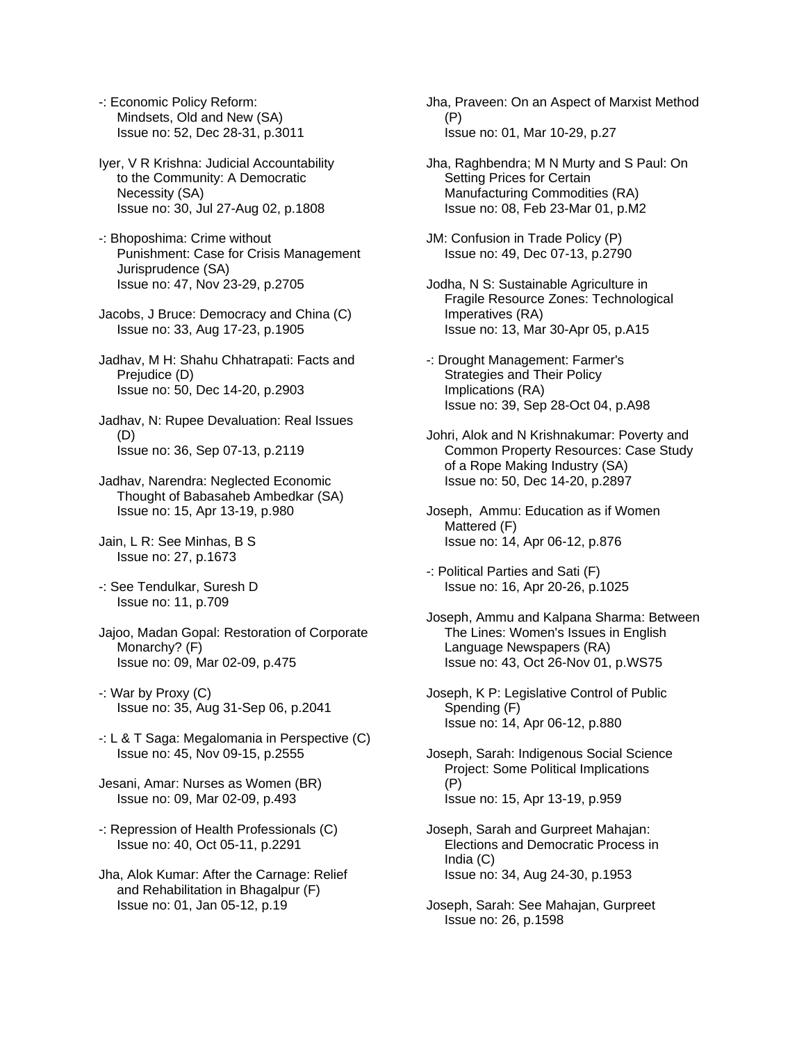-: Economic Policy Reform: Mindsets, Old and New (SA) Issue no: 52, Dec 28-31, p.3011

Iyer, V R Krishna: Judicial Accountability to the Community: A Democratic Necessity (SA) Issue no: 30, Jul 27-Aug 02, p.1808

-: Bhoposhima: Crime without Punishment: Case for Crisis Management Jurisprudence (SA) Issue no: 47, Nov 23-29, p.2705

Jacobs, J Bruce: Democracy and China (C) Issue no: 33, Aug 17-23, p.1905

Jadhav, M H: Shahu Chhatrapati: Facts and Prejudice (D) Issue no: 50, Dec 14-20, p.2903

Jadhav, N: Rupee Devaluation: Real Issues (D) Issue no: 36, Sep 07-13, p.2119

Jadhav, Narendra: Neglected Economic Thought of Babasaheb Ambedkar (SA) Issue no: 15, Apr 13-19, p.980

Jain, L R: See Minhas, B S Issue no: 27, p.1673

-: See Tendulkar, Suresh D Issue no: 11, p.709

Jajoo, Madan Gopal: Restoration of Corporate Monarchy? (F) Issue no: 09, Mar 02-09, p.475

-: War by Proxy (C) Issue no: 35, Aug 31-Sep 06, p.2041

-: L & T Saga: Megalomania in Perspective (C) Issue no: 45, Nov 09-15, p.2555

Jesani, Amar: Nurses as Women (BR) Issue no: 09, Mar 02-09, p.493

-: Repression of Health Professionals (C) Issue no: 40, Oct 05-11, p.2291

Jha, Alok Kumar: After the Carnage: Relief and Rehabilitation in Bhagalpur (F) Issue no: 01, Jan 05-12, p.19

Jha, Praveen: On an Aspect of Marxist Method (P) Issue no: 01, Mar 10-29, p.27

Jha, Raghbendra; M N Murty and S Paul: On Setting Prices for Certain Manufacturing Commodities (RA) Issue no: 08, Feb 23-Mar 01, p.M2

JM: Confusion in Trade Policy (P) Issue no: 49, Dec 07-13, p.2790

Jodha, N S: Sustainable Agriculture in Fragile Resource Zones: Technological Imperatives (RA) Issue no: 13, Mar 30-Apr 05, p.A15

-: Drought Management: Farmer's Strategies and Their Policy Implications (RA) Issue no: 39, Sep 28-Oct 04, p.A98

Johri, Alok and N Krishnakumar: Poverty and Common Property Resources: Case Study of a Rope Making Industry (SA) Issue no: 50, Dec 14-20, p.2897

Joseph, Ammu: Education as if Women Mattered (F) Issue no: 14, Apr 06-12, p.876

-: Political Parties and Sati (F) Issue no: 16, Apr 20-26, p.1025

Joseph, Ammu and Kalpana Sharma: Between The Lines: Women's Issues in English Language Newspapers (RA) Issue no: 43, Oct 26-Nov 01, p.WS75

Joseph, K P: Legislative Control of Public Spending (F) Issue no: 14, Apr 06-12, p.880

Joseph, Sarah: Indigenous Social Science Project: Some Political Implications (P) Issue no: 15, Apr 13-19, p.959

Joseph, Sarah and Gurpreet Mahajan: Elections and Democratic Process in India (C) Issue no: 34, Aug 24-30, p.1953

Joseph, Sarah: See Mahajan, Gurpreet Issue no: 26, p.1598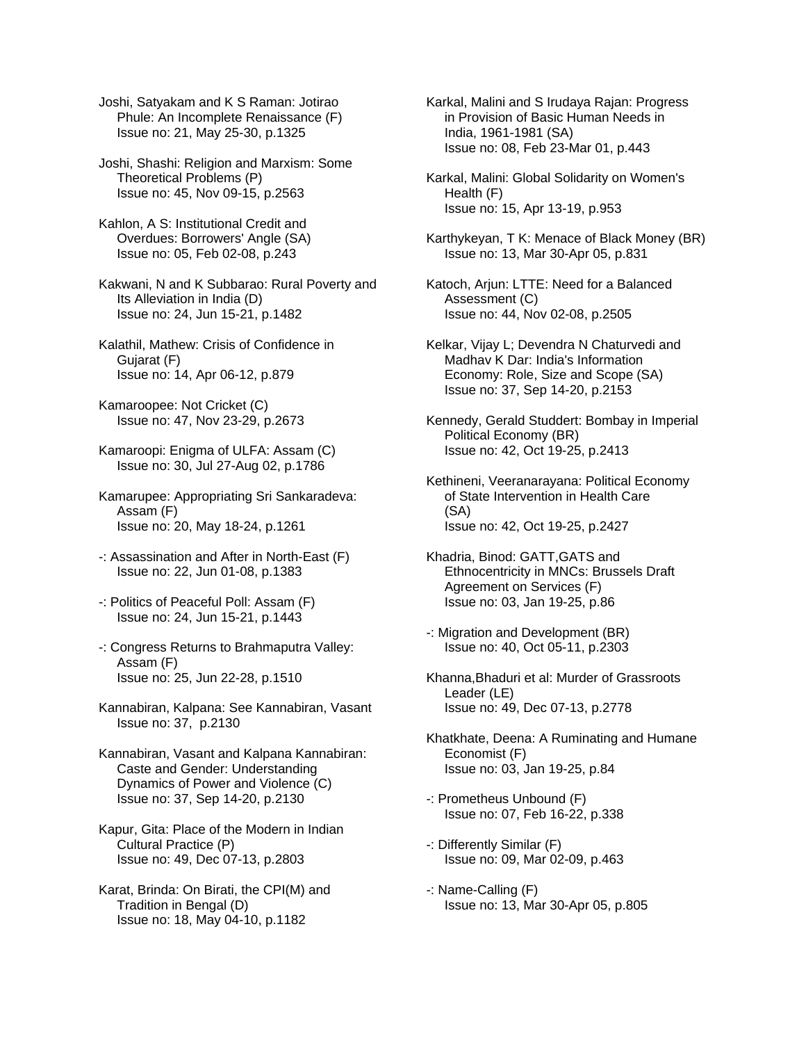Joshi, Satyakam and K S Raman: Jotirao Phule: An Incomplete Renaissance (F) Issue no: 21, May 25-30, p.1325

Joshi, Shashi: Religion and Marxism: Some Theoretical Problems (P) Issue no: 45, Nov 09-15, p.2563

- Kahlon, A S: Institutional Credit and Overdues: Borrowers' Angle (SA) Issue no: 05, Feb 02-08, p.243
- Kakwani, N and K Subbarao: Rural Poverty and Its Alleviation in India (D) Issue no: 24, Jun 15-21, p.1482
- Kalathil, Mathew: Crisis of Confidence in Gujarat (F) Issue no: 14, Apr 06-12, p.879
- Kamaroopee: Not Cricket (C) Issue no: 47, Nov 23-29, p.2673
- Kamaroopi: Enigma of ULFA: Assam (C) Issue no: 30, Jul 27-Aug 02, p.1786
- Kamarupee: Appropriating Sri Sankaradeva: Assam (F) Issue no: 20, May 18-24, p.1261
- -: Assassination and After in North-East (F) Issue no: 22, Jun 01-08, p.1383
- -: Politics of Peaceful Poll: Assam (F) Issue no: 24, Jun 15-21, p.1443
- -: Congress Returns to Brahmaputra Valley: Assam (F) Issue no: 25, Jun 22-28, p.1510
- Kannabiran, Kalpana: See Kannabiran, Vasant Issue no: 37, p.2130
- Kannabiran, Vasant and Kalpana Kannabiran: Caste and Gender: Understanding Dynamics of Power and Violence (C) Issue no: 37, Sep 14-20, p.2130
- Kapur, Gita: Place of the Modern in Indian Cultural Practice (P) Issue no: 49, Dec 07-13, p.2803
- Karat, Brinda: On Birati, the CPI(M) and Tradition in Bengal (D) Issue no: 18, May 04-10, p.1182
- Karkal, Malini and S Irudaya Rajan: Progress in Provision of Basic Human Needs in India, 1961-1981 (SA) Issue no: 08, Feb 23-Mar 01, p.443
- Karkal, Malini: Global Solidarity on Women's Health (F) Issue no: 15, Apr 13-19, p.953
- Karthykeyan, T K: Menace of Black Money (BR) Issue no: 13, Mar 30-Apr 05, p.831
- Katoch, Arjun: LTTE: Need for a Balanced Assessment (C) Issue no: 44, Nov 02-08, p.2505
- Kelkar, Vijay L; Devendra N Chaturvedi and Madhav K Dar: India's Information Economy: Role, Size and Scope (SA) Issue no: 37, Sep 14-20, p.2153
- Kennedy, Gerald Studdert: Bombay in Imperial Political Economy (BR) Issue no: 42, Oct 19-25, p.2413
- Kethineni, Veeranarayana: Political Economy of State Intervention in Health Care (SA) Issue no: 42, Oct 19-25, p.2427
- Khadria, Binod: GATT,GATS and Ethnocentricity in MNCs: Brussels Draft Agreement on Services (F) Issue no: 03, Jan 19-25, p.86
- -: Migration and Development (BR) Issue no: 40, Oct 05-11, p.2303
- Khanna,Bhaduri et al: Murder of Grassroots Leader (LE) Issue no: 49, Dec 07-13, p.2778
- Khatkhate, Deena: A Ruminating and Humane Economist (F) Issue no: 03, Jan 19-25, p.84
- -: Prometheus Unbound (F) Issue no: 07, Feb 16-22, p.338
- -: Differently Similar (F) Issue no: 09, Mar 02-09, p.463
- -: Name-Calling (F) Issue no: 13, Mar 30-Apr 05, p.805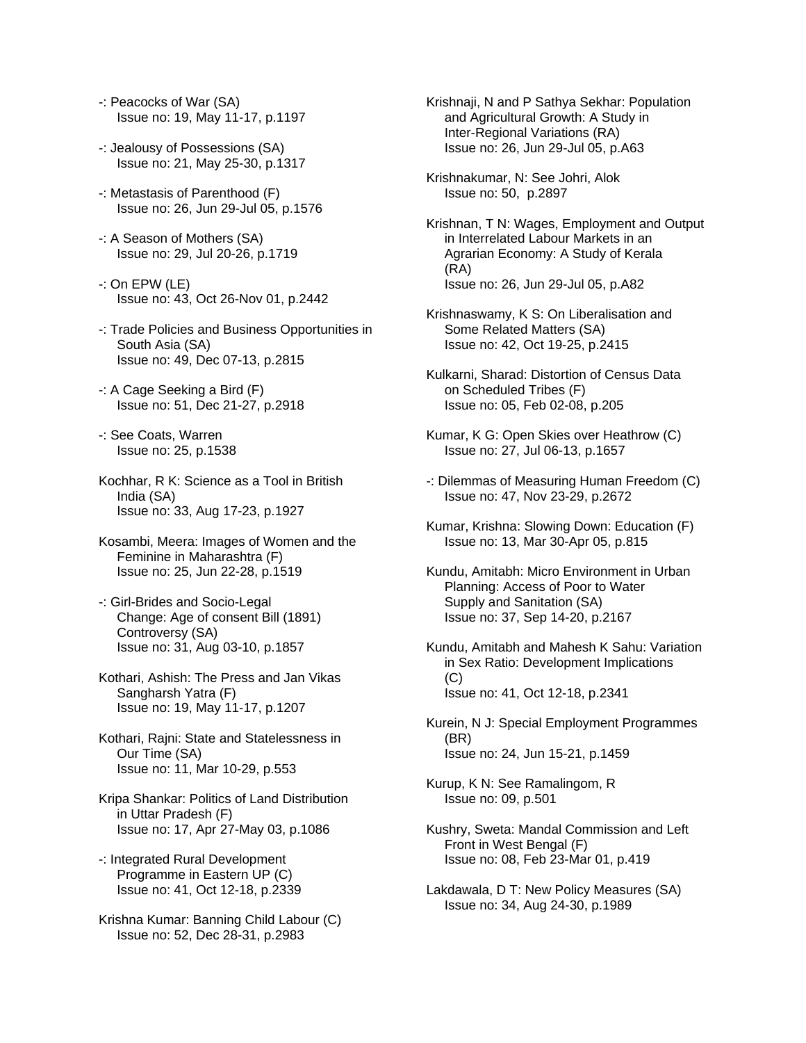- -: Peacocks of War (SA) Issue no: 19, May 11-17, p.1197
- -: Jealousy of Possessions (SA) Issue no: 21, May 25-30, p.1317
- -: Metastasis of Parenthood (F) Issue no: 26, Jun 29-Jul 05, p.1576
- -: A Season of Mothers (SA) Issue no: 29, Jul 20-26, p.1719
- -: On EPW (LE) Issue no: 43, Oct 26-Nov 01, p.2442
- -: Trade Policies and Business Opportunities in South Asia (SA) Issue no: 49, Dec 07-13, p.2815
- -: A Cage Seeking a Bird (F) Issue no: 51, Dec 21-27, p.2918
- -: See Coats, Warren Issue no: 25, p.1538
- Kochhar, R K: Science as a Tool in British India (SA) Issue no: 33, Aug 17-23, p.1927
- Kosambi, Meera: Images of Women and the Feminine in Maharashtra (F) Issue no: 25, Jun 22-28, p.1519
- -: Girl-Brides and Socio-Legal Change: Age of consent Bill (1891) Controversy (SA) Issue no: 31, Aug 03-10, p.1857
- Kothari, Ashish: The Press and Jan Vikas Sangharsh Yatra (F) Issue no: 19, May 11-17, p.1207
- Kothari, Rajni: State and Statelessness in Our Time (SA) Issue no: 11, Mar 10-29, p.553
- Kripa Shankar: Politics of Land Distribution in Uttar Pradesh (F) Issue no: 17, Apr 27-May 03, p.1086
- -: Integrated Rural Development Programme in Eastern UP (C) Issue no: 41, Oct 12-18, p.2339
- Krishna Kumar: Banning Child Labour (C) Issue no: 52, Dec 28-31, p.2983
- Krishnaji, N and P Sathya Sekhar: Population and Agricultural Growth: A Study in Inter-Regional Variations (RA) Issue no: 26, Jun 29-Jul 05, p.A63
- Krishnakumar, N: See Johri, Alok Issue no: 50, p.2897
- Krishnan, T N: Wages, Employment and Output in Interrelated Labour Markets in an Agrarian Economy: A Study of Kerala (RA) Issue no: 26, Jun 29-Jul 05, p.A82
- Krishnaswamy, K S: On Liberalisation and Some Related Matters (SA) Issue no: 42, Oct 19-25, p.2415
- Kulkarni, Sharad: Distortion of Census Data on Scheduled Tribes (F) Issue no: 05, Feb 02-08, p.205
- Kumar, K G: Open Skies over Heathrow (C) Issue no: 27, Jul 06-13, p.1657
- -: Dilemmas of Measuring Human Freedom (C) Issue no: 47, Nov 23-29, p.2672
- Kumar, Krishna: Slowing Down: Education (F) Issue no: 13, Mar 30-Apr 05, p.815
- Kundu, Amitabh: Micro Environment in Urban Planning: Access of Poor to Water Supply and Sanitation (SA) Issue no: 37, Sep 14-20, p.2167
- Kundu, Amitabh and Mahesh K Sahu: Variation in Sex Ratio: Development Implications  $(C)$ Issue no: 41, Oct 12-18, p.2341
- Kurein, N J: Special Employment Programmes (BR) Issue no: 24, Jun 15-21, p.1459
- Kurup, K N: See Ramalingom, R Issue no: 09, p.501
- Kushry, Sweta: Mandal Commission and Left Front in West Bengal (F) Issue no: 08, Feb 23-Mar 01, p.419
- Lakdawala, D T: New Policy Measures (SA) Issue no: 34, Aug 24-30, p.1989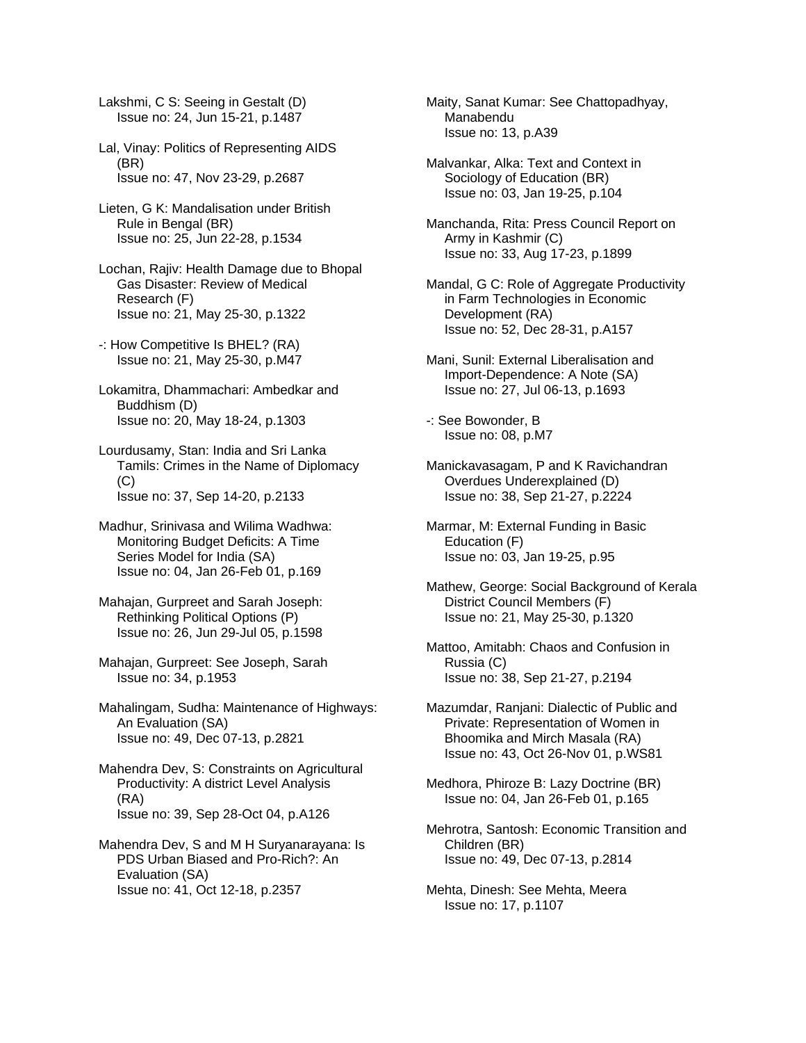Lakshmi, C S: Seeing in Gestalt (D) Issue no: 24, Jun 15-21, p.1487

- Lal, Vinay: Politics of Representing AIDS (BR) Issue no: 47, Nov 23-29, p.2687
- Lieten, G K: Mandalisation under British Rule in Bengal (BR) Issue no: 25, Jun 22-28, p.1534
- Lochan, Rajiv: Health Damage due to Bhopal Gas Disaster: Review of Medical Research (F) Issue no: 21, May 25-30, p.1322
- -: How Competitive Is BHEL? (RA) Issue no: 21, May 25-30, p.M47
- Lokamitra, Dhammachari: Ambedkar and Buddhism (D) Issue no: 20, May 18-24, p.1303
- Lourdusamy, Stan: India and Sri Lanka Tamils: Crimes in the Name of Diplomacy  $(C)$ Issue no: 37, Sep 14-20, p.2133
- Madhur, Srinivasa and Wilima Wadhwa: Monitoring Budget Deficits: A Time Series Model for India (SA) Issue no: 04, Jan 26-Feb 01, p.169
- Mahajan, Gurpreet and Sarah Joseph: Rethinking Political Options (P) Issue no: 26, Jun 29-Jul 05, p.1598
- Mahajan, Gurpreet: See Joseph, Sarah Issue no: 34, p.1953
- Mahalingam, Sudha: Maintenance of Highways: An Evaluation (SA) Issue no: 49, Dec 07-13, p.2821
- Mahendra Dev, S: Constraints on Agricultural Productivity: A district Level Analysis (RA) Issue no: 39, Sep 28-Oct 04, p.A126
- Mahendra Dev, S and M H Suryanarayana: Is PDS Urban Biased and Pro-Rich?: An Evaluation (SA) Issue no: 41, Oct 12-18, p.2357

Maity, Sanat Kumar: See Chattopadhyay, Manabendu Issue no: 13, p.A39

Malvankar, Alka: Text and Context in Sociology of Education (BR) Issue no: 03, Jan 19-25, p.104

Manchanda, Rita: Press Council Report on Army in Kashmir (C) Issue no: 33, Aug 17-23, p.1899

- Mandal, G C: Role of Aggregate Productivity in Farm Technologies in Economic Development (RA) Issue no: 52, Dec 28-31, p.A157
- Mani, Sunil: External Liberalisation and Import-Dependence: A Note (SA) Issue no: 27, Jul 06-13, p.1693
- -: See Bowonder, B Issue no: 08, p.M7
- Manickavasagam, P and K Ravichandran Overdues Underexplained (D) Issue no: 38, Sep 21-27, p.2224
- Marmar, M: External Funding in Basic Education (F) Issue no: 03, Jan 19-25, p.95
- Mathew, George: Social Background of Kerala District Council Members (F) Issue no: 21, May 25-30, p.1320
- Mattoo, Amitabh: Chaos and Confusion in Russia (C) Issue no: 38, Sep 21-27, p.2194
- Mazumdar, Ranjani: Dialectic of Public and Private: Representation of Women in Bhoomika and Mirch Masala (RA) Issue no: 43, Oct 26-Nov 01, p.WS81
- Medhora, Phiroze B: Lazy Doctrine (BR) Issue no: 04, Jan 26-Feb 01, p.165
- Mehrotra, Santosh: Economic Transition and Children (BR) Issue no: 49, Dec 07-13, p.2814
- Mehta, Dinesh: See Mehta, Meera Issue no: 17, p.1107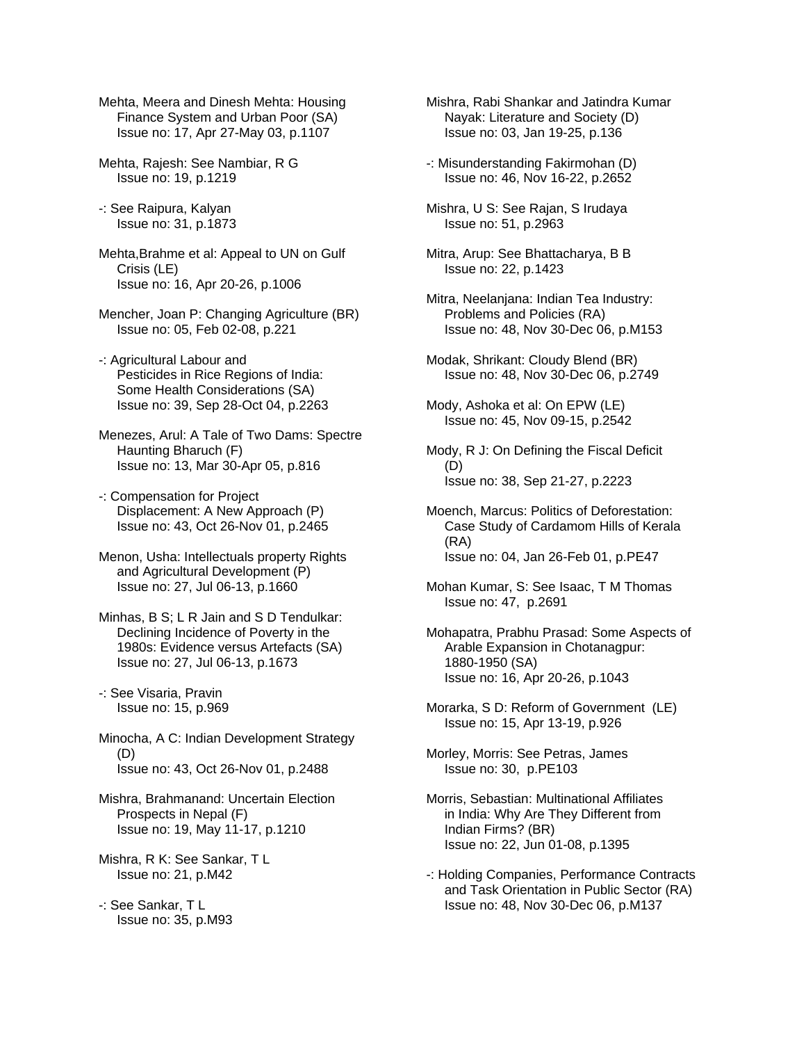Mehta, Meera and Dinesh Mehta: Housing Finance System and Urban Poor (SA) Issue no: 17, Apr 27-May 03, p.1107

Mehta, Rajesh: See Nambiar, R G Issue no: 19, p.1219

-: See Raipura, Kalyan Issue no: 31, p.1873

Mehta,Brahme et al: Appeal to UN on Gulf Crisis (LE) Issue no: 16, Apr 20-26, p.1006

Mencher, Joan P: Changing Agriculture (BR) Issue no: 05, Feb 02-08, p.221

-: Agricultural Labour and Pesticides in Rice Regions of India: Some Health Considerations (SA) Issue no: 39, Sep 28-Oct 04, p.2263

Menezes, Arul: A Tale of Two Dams: Spectre Haunting Bharuch (F) Issue no: 13, Mar 30-Apr 05, p.816

-: Compensation for Project Displacement: A New Approach (P) Issue no: 43, Oct 26-Nov 01, p.2465

Menon, Usha: Intellectuals property Rights and Agricultural Development (P) Issue no: 27, Jul 06-13, p.1660

Minhas, B S; L R Jain and S D Tendulkar: Declining Incidence of Poverty in the 1980s: Evidence versus Artefacts (SA) Issue no: 27, Jul 06-13, p.1673

-: See Visaria, Pravin Issue no: 15, p.969

Minocha, A C: Indian Development Strategy (D) Issue no: 43, Oct 26-Nov 01, p.2488

Mishra, Brahmanand: Uncertain Election Prospects in Nepal (F) Issue no: 19, May 11-17, p.1210

Mishra, R K: See Sankar, T L Issue no: 21, p.M42

-: See Sankar, T L Issue no: 35, p.M93 Mishra, Rabi Shankar and Jatindra Kumar Nayak: Literature and Society (D) Issue no: 03, Jan 19-25, p.136

-: Misunderstanding Fakirmohan (D) Issue no: 46, Nov 16-22, p.2652

Mishra, U S: See Rajan, S Irudaya Issue no: 51, p.2963

Mitra, Arup: See Bhattacharya, B B Issue no: 22, p.1423

Mitra, Neelanjana: Indian Tea Industry: Problems and Policies (RA) Issue no: 48, Nov 30-Dec 06, p.M153

Modak, Shrikant: Cloudy Blend (BR) Issue no: 48, Nov 30-Dec 06, p.2749

Mody, Ashoka et al: On EPW (LE) Issue no: 45, Nov 09-15, p.2542

Mody, R J: On Defining the Fiscal Deficit (D) Issue no: 38, Sep 21-27, p.2223

Moench, Marcus: Politics of Deforestation: Case Study of Cardamom Hills of Kerala (RA) Issue no: 04, Jan 26-Feb 01, p.PE47

Mohan Kumar, S: See Isaac, T M Thomas Issue no: 47, p.2691

Mohapatra, Prabhu Prasad: Some Aspects of Arable Expansion in Chotanagpur: 1880-1950 (SA) Issue no: 16, Apr 20-26, p.1043

Morarka, S D: Reform of Government (LE) Issue no: 15, Apr 13-19, p.926

Morley, Morris: See Petras, James Issue no: 30, p.PE103

Morris, Sebastian: Multinational Affiliates in India: Why Are They Different from Indian Firms? (BR) Issue no: 22, Jun 01-08, p.1395

-: Holding Companies, Performance Contracts and Task Orientation in Public Sector (RA) Issue no: 48, Nov 30-Dec 06, p.M137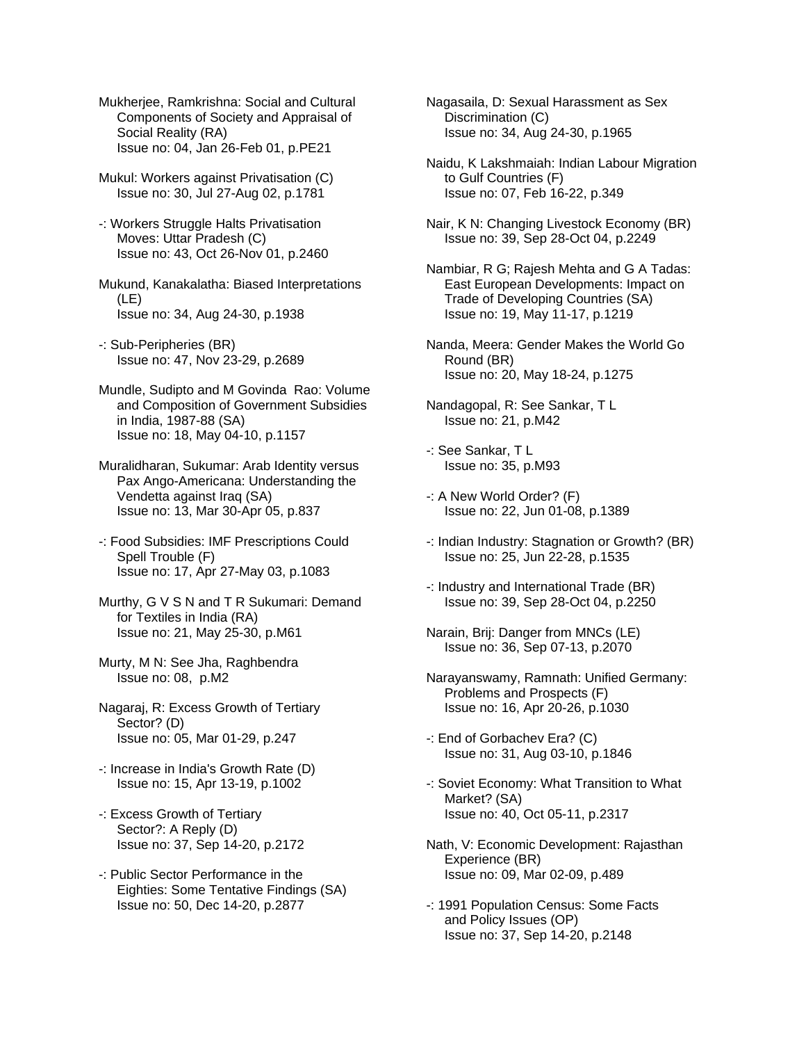Mukherjee, Ramkrishna: Social and Cultural Components of Society and Appraisal of Social Reality (RA) Issue no: 04, Jan 26-Feb 01, p.PE21

Mukul: Workers against Privatisation (C) Issue no: 30, Jul 27-Aug 02, p.1781

- -: Workers Struggle Halts Privatisation Moves: Uttar Pradesh (C) Issue no: 43, Oct 26-Nov 01, p.2460
- Mukund, Kanakalatha: Biased Interpretations (LE) Issue no: 34, Aug 24-30, p.1938
- -: Sub-Peripheries (BR) Issue no: 47, Nov 23-29, p.2689
- Mundle, Sudipto and M Govinda Rao: Volume and Composition of Government Subsidies in India, 1987-88 (SA) Issue no: 18, May 04-10, p.1157
- Muralidharan, Sukumar: Arab Identity versus Pax Ango-Americana: Understanding the Vendetta against Iraq (SA) Issue no: 13, Mar 30-Apr 05, p.837
- -: Food Subsidies: IMF Prescriptions Could Spell Trouble (F) Issue no: 17, Apr 27-May 03, p.1083
- Murthy, G V S N and T R Sukumari: Demand for Textiles in India (RA) Issue no: 21, May 25-30, p.M61
- Murty, M N: See Jha, Raghbendra Issue no: 08, p.M2
- Nagaraj, R: Excess Growth of Tertiary Sector? (D) Issue no: 05, Mar 01-29, p.247
- -: Increase in India's Growth Rate (D) Issue no: 15, Apr 13-19, p.1002
- -: Excess Growth of Tertiary Sector?: A Reply (D) Issue no: 37, Sep 14-20, p.2172
- -: Public Sector Performance in the Eighties: Some Tentative Findings (SA) Issue no: 50, Dec 14-20, p.2877

Nagasaila, D: Sexual Harassment as Sex Discrimination (C) Issue no: 34, Aug 24-30, p.1965

- Naidu, K Lakshmaiah: Indian Labour Migration to Gulf Countries (F) Issue no: 07, Feb 16-22, p.349
- Nair, K N: Changing Livestock Economy (BR) Issue no: 39, Sep 28-Oct 04, p.2249
- Nambiar, R G; Rajesh Mehta and G A Tadas: East European Developments: Impact on Trade of Developing Countries (SA) Issue no: 19, May 11-17, p.1219
- Nanda, Meera: Gender Makes the World Go Round (BR) Issue no: 20, May 18-24, p.1275
- Nandagopal, R: See Sankar, T L Issue no: 21, p.M42
- -: See Sankar, T L Issue no: 35, p.M93
- -: A New World Order? (F) Issue no: 22, Jun 01-08, p.1389
- -: Indian Industry: Stagnation or Growth? (BR) Issue no: 25, Jun 22-28, p.1535
- -: Industry and International Trade (BR) Issue no: 39, Sep 28-Oct 04, p.2250
- Narain, Brij: Danger from MNCs (LE) Issue no: 36, Sep 07-13, p.2070
- Narayanswamy, Ramnath: Unified Germany: Problems and Prospects (F) Issue no: 16, Apr 20-26, p.1030
- -: End of Gorbachev Era? (C) Issue no: 31, Aug 03-10, p.1846
- -: Soviet Economy: What Transition to What Market? (SA) Issue no: 40, Oct 05-11, p.2317
- Nath, V: Economic Development: Rajasthan Experience (BR) Issue no: 09, Mar 02-09, p.489
- -: 1991 Population Census: Some Facts and Policy Issues (OP) Issue no: 37, Sep 14-20, p.2148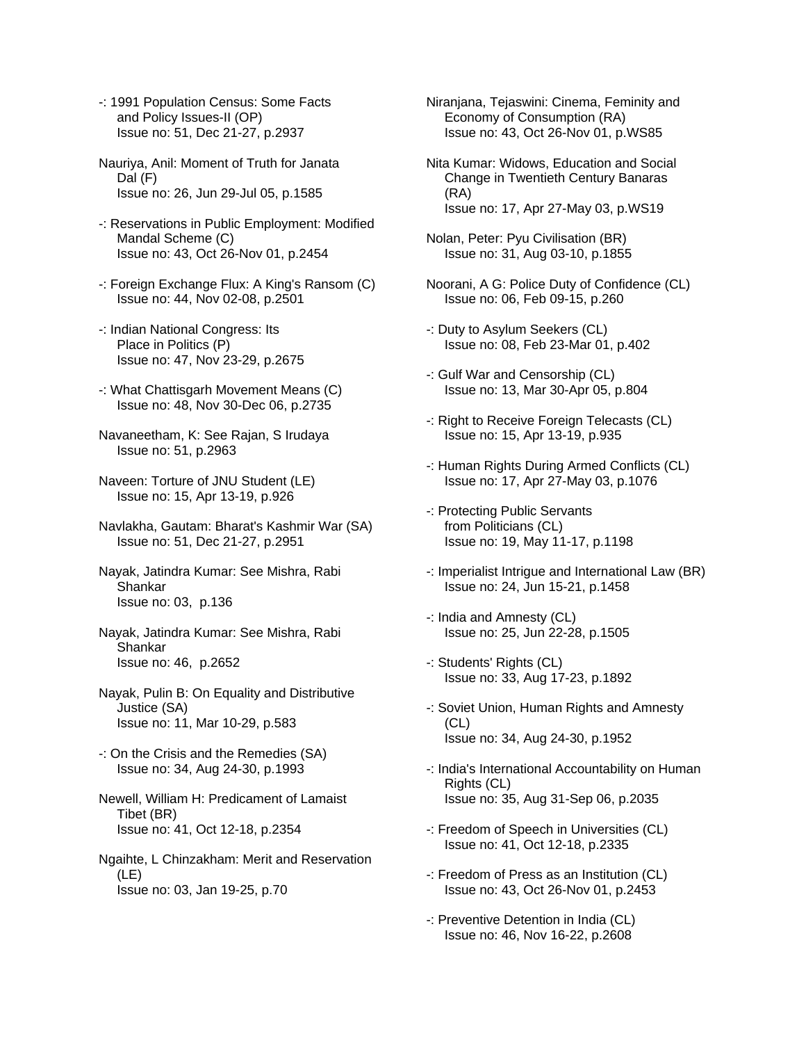- -: 1991 Population Census: Some Facts and Policy Issues-II (OP) Issue no: 51, Dec 21-27, p.2937
- Nauriya, Anil: Moment of Truth for Janata Dal (F) Issue no: 26, Jun 29-Jul 05, p.1585
- -: Reservations in Public Employment: Modified Mandal Scheme (C) Issue no: 43, Oct 26-Nov 01, p.2454
- -: Foreign Exchange Flux: A King's Ransom (C) Issue no: 44, Nov 02-08, p.2501
- -: Indian National Congress: Its Place in Politics (P) Issue no: 47, Nov 23-29, p.2675
- -: What Chattisgarh Movement Means (C) Issue no: 48, Nov 30-Dec 06, p.2735
- Navaneetham, K: See Rajan, S Irudaya Issue no: 51, p.2963
- Naveen: Torture of JNU Student (LE) Issue no: 15, Apr 13-19, p.926
- Navlakha, Gautam: Bharat's Kashmir War (SA) Issue no: 51, Dec 21-27, p.2951
- Nayak, Jatindra Kumar: See Mishra, Rabi Shankar Issue no: 03, p.136
- Nayak, Jatindra Kumar: See Mishra, Rabi Shankar Issue no: 46, p.2652
- Nayak, Pulin B: On Equality and Distributive Justice (SA) Issue no: 11, Mar 10-29, p.583
- -: On the Crisis and the Remedies (SA) Issue no: 34, Aug 24-30, p.1993
- Newell, William H: Predicament of Lamaist Tibet (BR) Issue no: 41, Oct 12-18, p.2354
- Ngaihte, L Chinzakham: Merit and Reservation (LE) Issue no: 03, Jan 19-25, p.70
- Niranjana, Tejaswini: Cinema, Feminity and Economy of Consumption (RA) Issue no: 43, Oct 26-Nov 01, p.WS85
- Nita Kumar: Widows, Education and Social Change in Twentieth Century Banaras (RA) Issue no: 17, Apr 27-May 03, p.WS19
- Nolan, Peter: Pyu Civilisation (BR) Issue no: 31, Aug 03-10, p.1855
- Noorani, A G: Police Duty of Confidence (CL) Issue no: 06, Feb 09-15, p.260
- -: Duty to Asylum Seekers (CL) Issue no: 08, Feb 23-Mar 01, p.402
- -: Gulf War and Censorship (CL) Issue no: 13, Mar 30-Apr 05, p.804
- -: Right to Receive Foreign Telecasts (CL) Issue no: 15, Apr 13-19, p.935
- -: Human Rights During Armed Conflicts (CL) Issue no: 17, Apr 27-May 03, p.1076
- -: Protecting Public Servants from Politicians (CL) Issue no: 19, May 11-17, p.1198
- -: Imperialist Intrigue and International Law (BR) Issue no: 24, Jun 15-21, p.1458
- -: India and Amnesty (CL) Issue no: 25, Jun 22-28, p.1505
- -: Students' Rights (CL) Issue no: 33, Aug 17-23, p.1892
- -: Soviet Union, Human Rights and Amnesty (CL) Issue no: 34, Aug 24-30, p.1952
- -: India's International Accountability on Human Rights (CL) Issue no: 35, Aug 31-Sep 06, p.2035
- -: Freedom of Speech in Universities (CL) Issue no: 41, Oct 12-18, p.2335
- -: Freedom of Press as an Institution (CL) Issue no: 43, Oct 26-Nov 01, p.2453
- -: Preventive Detention in India (CL) Issue no: 46, Nov 16-22, p.2608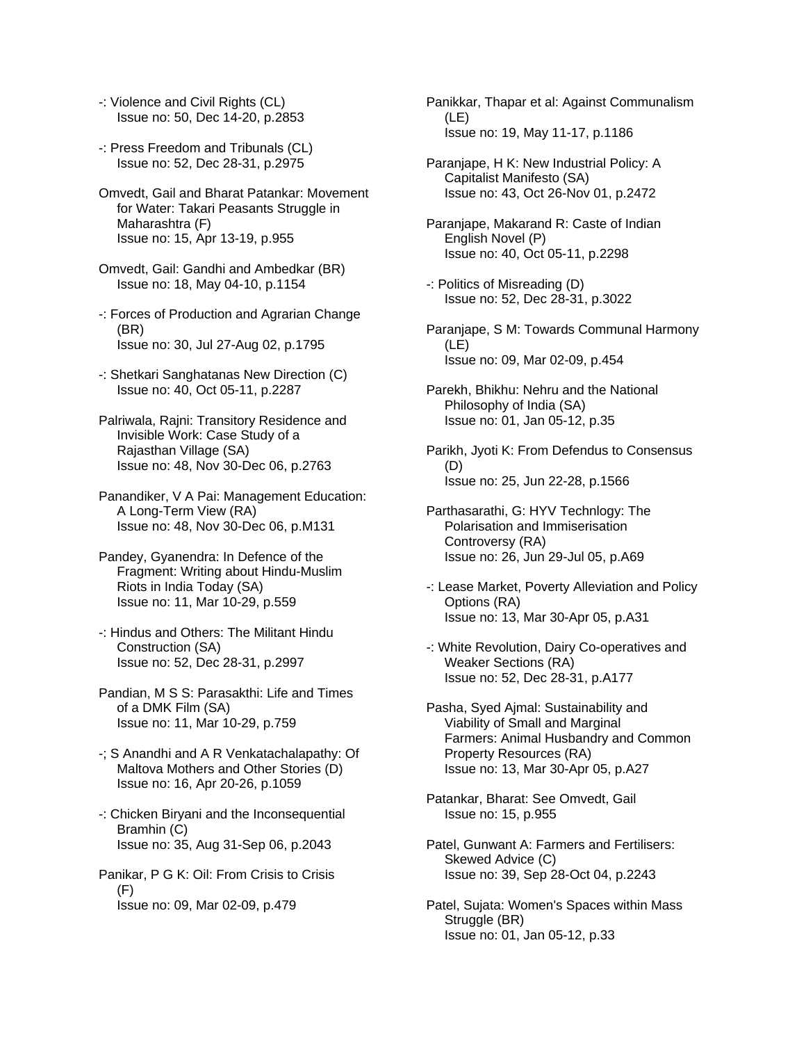- -: Violence and Civil Rights (CL) Issue no: 50, Dec 14-20, p.2853
- -: Press Freedom and Tribunals (CL) Issue no: 52, Dec 28-31, p.2975
- Omvedt, Gail and Bharat Patankar: Movement for Water: Takari Peasants Struggle in Maharashtra (F) Issue no: 15, Apr 13-19, p.955
- Omvedt, Gail: Gandhi and Ambedkar (BR) Issue no: 18, May 04-10, p.1154
- -: Forces of Production and Agrarian Change (BR) Issue no: 30, Jul 27-Aug 02, p.1795
- -: Shetkari Sanghatanas New Direction (C) Issue no: 40, Oct 05-11, p.2287
- Palriwala, Rajni: Transitory Residence and Invisible Work: Case Study of a Rajasthan Village (SA) Issue no: 48, Nov 30-Dec 06, p.2763
- Panandiker, V A Pai: Management Education: A Long-Term View (RA) Issue no: 48, Nov 30-Dec 06, p.M131
- Pandey, Gyanendra: In Defence of the Fragment: Writing about Hindu-Muslim Riots in India Today (SA) Issue no: 11, Mar 10-29, p.559
- -: Hindus and Others: The Militant Hindu Construction (SA) Issue no: 52, Dec 28-31, p.2997
- Pandian, M S S: Parasakthi: Life and Times of a DMK Film (SA) Issue no: 11, Mar 10-29, p.759
- -; S Anandhi and A R Venkatachalapathy: Of Maltova Mothers and Other Stories (D) Issue no: 16, Apr 20-26, p.1059
- -: Chicken Biryani and the Inconsequential Bramhin (C) Issue no: 35, Aug 31-Sep 06, p.2043
- Panikar, P G K: Oil: From Crisis to Crisis (F) Issue no: 09, Mar 02-09, p.479

Panikkar, Thapar et al: Against Communalism (LE) Issue no: 19, May 11-17, p.1186

Paranjape, H K: New Industrial Policy: A Capitalist Manifesto (SA) Issue no: 43, Oct 26-Nov 01, p.2472

- Paranjape, Makarand R: Caste of Indian English Novel (P) Issue no: 40, Oct 05-11, p.2298
- -: Politics of Misreading (D) Issue no: 52, Dec 28-31, p.3022
- Paranjape, S M: Towards Communal Harmony (LE) Issue no: 09, Mar 02-09, p.454
- Parekh, Bhikhu: Nehru and the National Philosophy of India (SA) Issue no: 01, Jan 05-12, p.35
- Parikh, Jyoti K: From Defendus to Consensus (D) Issue no: 25, Jun 22-28, p.1566
- Parthasarathi, G: HYV Technlogy: The Polarisation and Immiserisation Controversy (RA) Issue no: 26, Jun 29-Jul 05, p.A69
- -: Lease Market, Poverty Alleviation and Policy Options (RA) Issue no: 13, Mar 30-Apr 05, p.A31
- -: White Revolution, Dairy Co-operatives and Weaker Sections (RA) Issue no: 52, Dec 28-31, p.A177
- Pasha, Syed Ajmal: Sustainability and Viability of Small and Marginal Farmers: Animal Husbandry and Common Property Resources (RA) Issue no: 13, Mar 30-Apr 05, p.A27
- Patankar, Bharat: See Omvedt, Gail Issue no: 15, p.955
- Patel, Gunwant A: Farmers and Fertilisers: Skewed Advice (C) Issue no: 39, Sep 28-Oct 04, p.2243
- Patel, Sujata: Women's Spaces within Mass Struggle (BR) Issue no: 01, Jan 05-12, p.33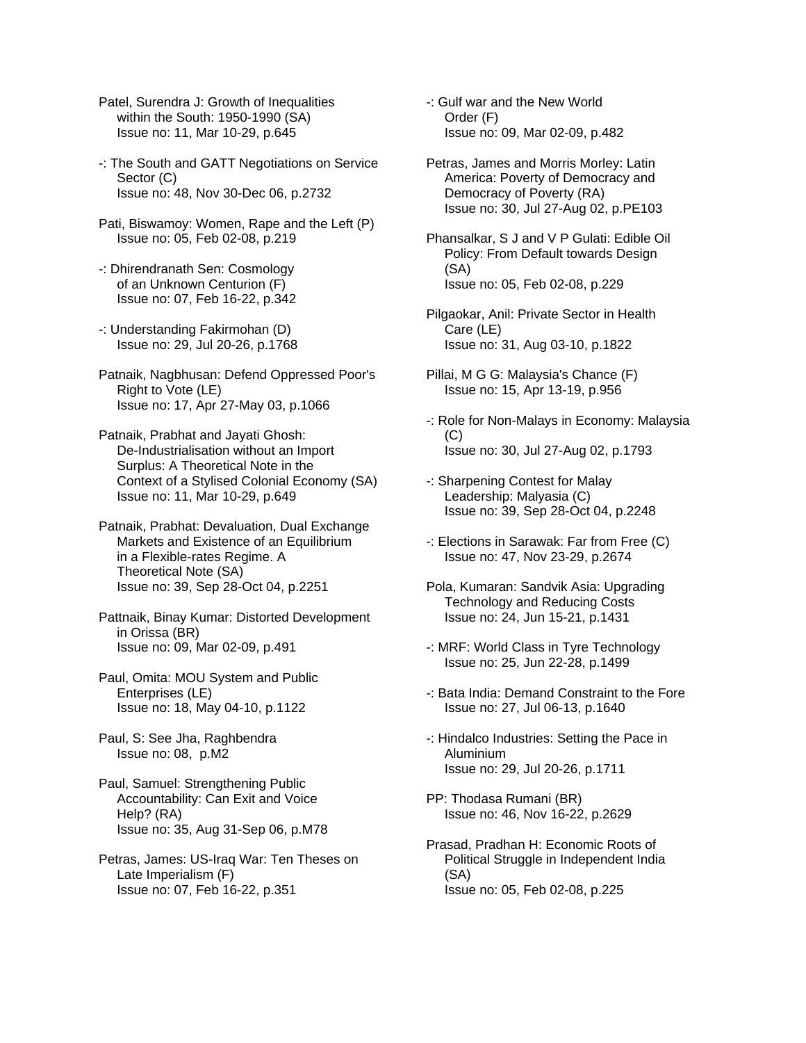- Patel, Surendra J: Growth of Inequalities within the South: 1950-1990 (SA) Issue no: 11, Mar 10-29, p.645
- -: The South and GATT Negotiations on Service Sector (C) Issue no: 48, Nov 30-Dec 06, p.2732
- Pati, Biswamoy: Women, Rape and the Left (P) Issue no: 05, Feb 02-08, p.219
- -: Dhirendranath Sen: Cosmology of an Unknown Centurion (F) Issue no: 07, Feb 16-22, p.342
- -: Understanding Fakirmohan (D) Issue no: 29, Jul 20-26, p.1768
- Patnaik, Nagbhusan: Defend Oppressed Poor's Right to Vote (LE) Issue no: 17, Apr 27-May 03, p.1066
- Patnaik, Prabhat and Jayati Ghosh: De-Industrialisation without an Import Surplus: A Theoretical Note in the Context of a Stylised Colonial Economy (SA) Issue no: 11, Mar 10-29, p.649
- Patnaik, Prabhat: Devaluation, Dual Exchange Markets and Existence of an Equilibrium in a Flexible-rates Regime. A Theoretical Note (SA) Issue no: 39, Sep 28-Oct 04, p.2251
- Pattnaik, Binay Kumar: Distorted Development in Orissa (BR) Issue no: 09, Mar 02-09, p.491
- Paul, Omita: MOU System and Public Enterprises (LE) Issue no: 18, May 04-10, p.1122
- Paul, S: See Jha, Raghbendra Issue no: 08, p.M2
- Paul, Samuel: Strengthening Public Accountability: Can Exit and Voice Help? (RA) Issue no: 35, Aug 31-Sep 06, p.M78
- Petras, James: US-Iraq War: Ten Theses on Late Imperialism (F) Issue no: 07, Feb 16-22, p.351
- -: Gulf war and the New World Order (F) Issue no: 09, Mar 02-09, p.482
- Petras, James and Morris Morley: Latin America: Poverty of Democracy and Democracy of Poverty (RA) Issue no: 30, Jul 27-Aug 02, p.PE103
- Phansalkar, S J and V P Gulati: Edible Oil Policy: From Default towards Design (SA) Issue no: 05, Feb 02-08, p.229
- Pilgaokar, Anil: Private Sector in Health Care (LE) Issue no: 31, Aug 03-10, p.1822
- Pillai, M G G: Malaysia's Chance (F) Issue no: 15, Apr 13-19, p.956
- -: Role for Non-Malays in Economy: Malaysia (C) Issue no: 30, Jul 27-Aug 02, p.1793
- -: Sharpening Contest for Malay Leadership: Malyasia (C) Issue no: 39, Sep 28-Oct 04, p.2248
- -: Elections in Sarawak: Far from Free (C) Issue no: 47, Nov 23-29, p.2674
- Pola, Kumaran: Sandvik Asia: Upgrading Technology and Reducing Costs Issue no: 24, Jun 15-21, p.1431
- -: MRF: World Class in Tyre Technology Issue no: 25, Jun 22-28, p.1499
- -: Bata India: Demand Constraint to the Fore Issue no: 27, Jul 06-13, p.1640
- -: Hindalco Industries: Setting the Pace in Aluminium Issue no: 29, Jul 20-26, p.1711
- PP: Thodasa Rumani (BR) Issue no: 46, Nov 16-22, p.2629
- Prasad, Pradhan H: Economic Roots of Political Struggle in Independent India (SA) Issue no: 05, Feb 02-08, p.225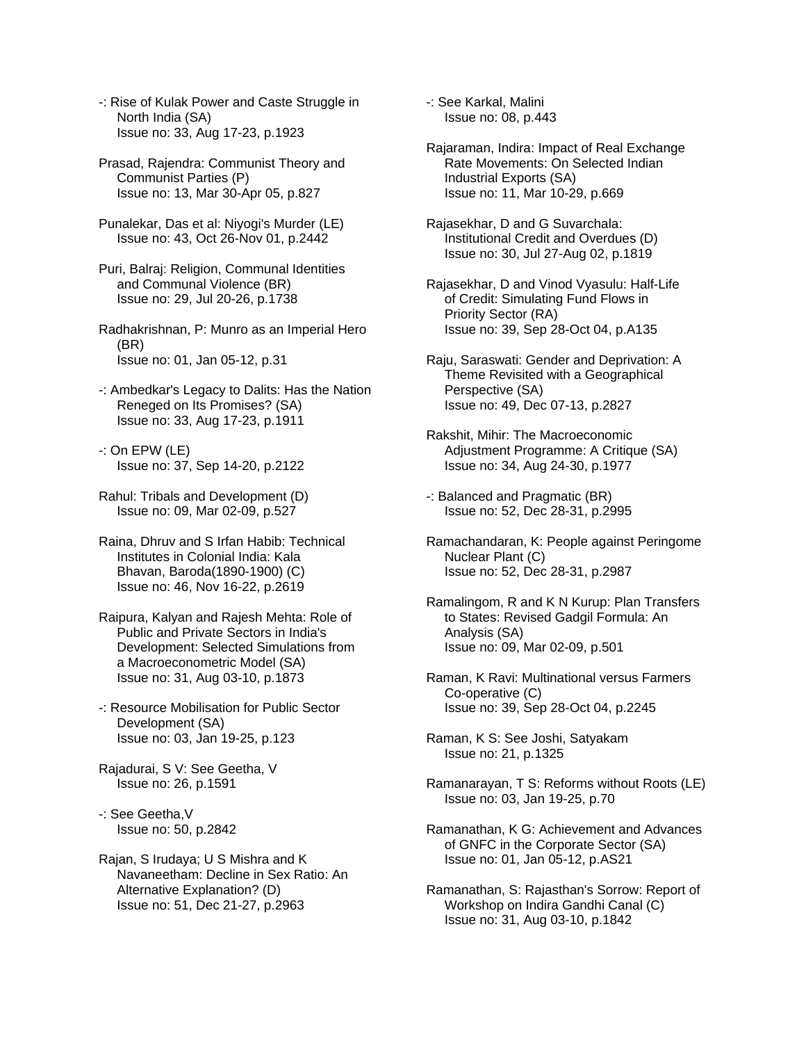- -: Rise of Kulak Power and Caste Struggle in North India (SA) Issue no: 33, Aug 17-23, p.1923
- Prasad, Rajendra: Communist Theory and Communist Parties (P) Issue no: 13, Mar 30-Apr 05, p.827
- Punalekar, Das et al: Niyogi's Murder (LE) Issue no: 43, Oct 26-Nov 01, p.2442
- Puri, Balraj: Religion, Communal Identities and Communal Violence (BR) Issue no: 29, Jul 20-26, p.1738
- Radhakrishnan, P: Munro as an Imperial Hero (BR) Issue no: 01, Jan 05-12, p.31
- -: Ambedkar's Legacy to Dalits: Has the Nation Reneged on Its Promises? (SA) Issue no: 33, Aug 17-23, p.1911
- -: On EPW (LE) Issue no: 37, Sep 14-20, p.2122
- Rahul: Tribals and Development (D) Issue no: 09, Mar 02-09, p.527
- Raina, Dhruv and S Irfan Habib: Technical Institutes in Colonial India: Kala Bhavan, Baroda(1890-1900) (C) Issue no: 46, Nov 16-22, p.2619
- Raipura, Kalyan and Rajesh Mehta: Role of Public and Private Sectors in India's Development: Selected Simulations from a Macroeconometric Model (SA) Issue no: 31, Aug 03-10, p.1873
- -: Resource Mobilisation for Public Sector Development (SA) Issue no: 03, Jan 19-25, p.123
- Rajadurai, S V: See Geetha, V Issue no: 26, p.1591
- -: See Geetha,V Issue no: 50, p.2842
- Rajan, S Irudaya; U S Mishra and K Navaneetham: Decline in Sex Ratio: An Alternative Explanation? (D) Issue no: 51, Dec 21-27, p.2963

-: See Karkal, Malini Issue no: 08, p.443

- Rajaraman, Indira: Impact of Real Exchange Rate Movements: On Selected Indian Industrial Exports (SA) Issue no: 11, Mar 10-29, p.669
- Rajasekhar, D and G Suvarchala: Institutional Credit and Overdues (D) Issue no: 30, Jul 27-Aug 02, p.1819
- Rajasekhar, D and Vinod Vyasulu: Half-Life of Credit: Simulating Fund Flows in Priority Sector (RA) Issue no: 39, Sep 28-Oct 04, p.A135
- Raju, Saraswati: Gender and Deprivation: A Theme Revisited with a Geographical Perspective (SA) Issue no: 49, Dec 07-13, p.2827
- Rakshit, Mihir: The Macroeconomic Adjustment Programme: A Critique (SA) Issue no: 34, Aug 24-30, p.1977
- -: Balanced and Pragmatic (BR) Issue no: 52, Dec 28-31, p.2995
- Ramachandaran, K: People against Peringome Nuclear Plant (C) Issue no: 52, Dec 28-31, p.2987
- Ramalingom, R and K N Kurup: Plan Transfers to States: Revised Gadgil Formula: An Analysis (SA) Issue no: 09, Mar 02-09, p.501
- Raman, K Ravi: Multinational versus Farmers Co-operative (C) Issue no: 39, Sep 28-Oct 04, p.2245
- Raman, K S: See Joshi, Satyakam Issue no: 21, p.1325
- Ramanarayan, T S: Reforms without Roots (LE) Issue no: 03, Jan 19-25, p.70
- Ramanathan, K G: Achievement and Advances of GNFC in the Corporate Sector (SA) Issue no: 01, Jan 05-12, p.AS21
- Ramanathan, S: Rajasthan's Sorrow: Report of Workshop on Indira Gandhi Canal (C) Issue no: 31, Aug 03-10, p.1842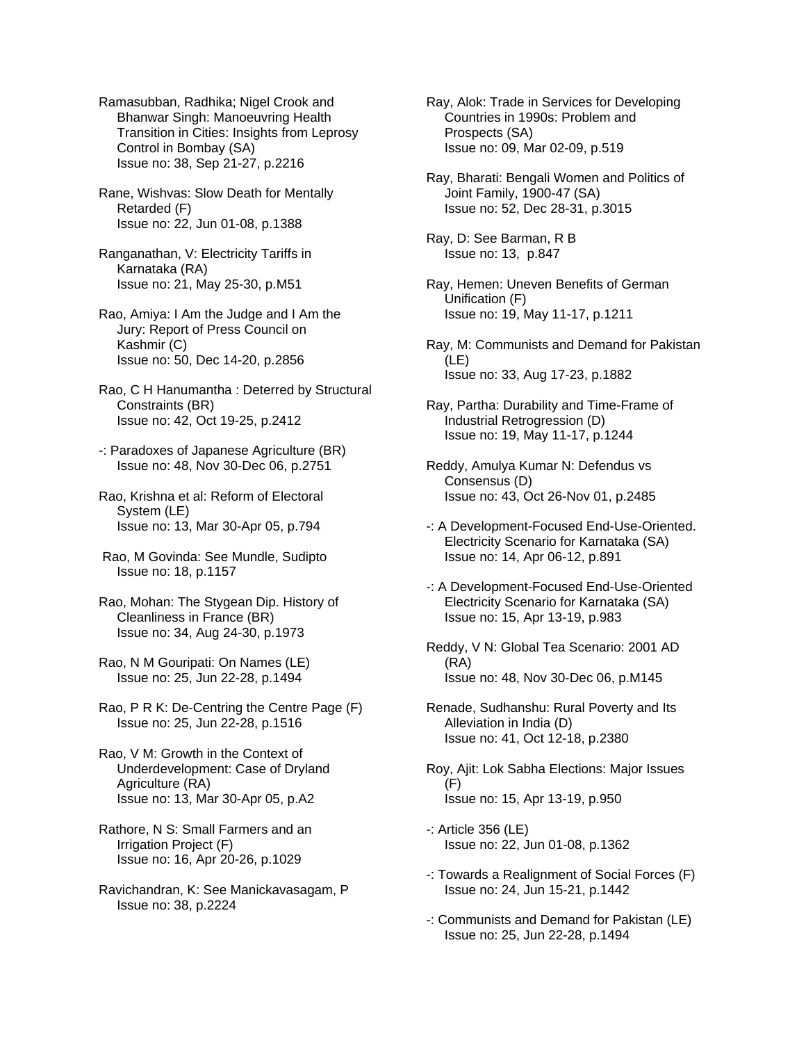Ramasubban, Radhika; Nigel Crook and Bhanwar Singh: Manoeuvring Health Transition in Cities: Insights from Leprosy Control in Bombay (SA) Issue no: 38, Sep 21-27, p.2216

Rane, Wishvas: Slow Death for Mentally Retarded (F) Issue no: 22, Jun 01-08, p.1388

Ranganathan, V: Electricity Tariffs in Karnataka (RA) Issue no: 21, May 25-30, p.M51

Rao, Amiya: I Am the Judge and I Am the Jury: Report of Press Council on Kashmir (C) Issue no: 50, Dec 14-20, p.2856

Rao, C H Hanumantha : Deterred by Structural Constraints (BR) Issue no: 42, Oct 19-25, p.2412

- -: Paradoxes of Japanese Agriculture (BR) Issue no: 48, Nov 30-Dec 06, p.2751
- Rao, Krishna et al: Reform of Electoral System (LE) Issue no: 13, Mar 30-Apr 05, p.794
- Rao, M Govinda: See Mundle, Sudipto Issue no: 18, p.1157

Rao, Mohan: The Stygean Dip. History of Cleanliness in France (BR) Issue no: 34, Aug 24-30, p.1973

Rao, N M Gouripati: On Names (LE) Issue no: 25, Jun 22-28, p.1494

Rao, P R K: De-Centring the Centre Page (F) Issue no: 25, Jun 22-28, p.1516

- Rao, V M: Growth in the Context of Underdevelopment: Case of Dryland Agriculture (RA) Issue no: 13, Mar 30-Apr 05, p.A2
- Rathore, N S: Small Farmers and an Irrigation Project (F) Issue no: 16, Apr 20-26, p.1029
- Ravichandran, K: See Manickavasagam, P Issue no: 38, p.2224

Ray, Alok: Trade in Services for Developing Countries in 1990s: Problem and Prospects (SA) Issue no: 09, Mar 02-09, p.519

- Ray, Bharati: Bengali Women and Politics of Joint Family, 1900-47 (SA) Issue no: 52, Dec 28-31, p.3015
- Ray, D: See Barman, R B Issue no: 13, p.847
- Ray, Hemen: Uneven Benefits of German Unification (F) Issue no: 19, May 11-17, p.1211
- Ray, M: Communists and Demand for Pakistan (LE) Issue no: 33, Aug 17-23, p.1882
- Ray, Partha: Durability and Time-Frame of Industrial Retrogression (D) Issue no: 19, May 11-17, p.1244
- Reddy, Amulya Kumar N: Defendus vs Consensus (D) Issue no: 43, Oct 26-Nov 01, p.2485
- -: A Development-Focused End-Use-Oriented. Electricity Scenario for Karnataka (SA) Issue no: 14, Apr 06-12, p.891
- -: A Development-Focused End-Use-Oriented Electricity Scenario for Karnataka (SA) Issue no: 15, Apr 13-19, p.983
- Reddy, V N: Global Tea Scenario: 2001 AD (RA) Issue no: 48, Nov 30-Dec 06, p.M145
- Renade, Sudhanshu: Rural Poverty and Its Alleviation in India (D) Issue no: 41, Oct 12-18, p.2380
- Roy, Ajit: Lok Sabha Elections: Major Issues (F) Issue no: 15, Apr 13-19, p.950
- -: Article 356 (LE) Issue no: 22, Jun 01-08, p.1362
- -: Towards a Realignment of Social Forces (F) Issue no: 24, Jun 15-21, p.1442
- -: Communists and Demand for Pakistan (LE) Issue no: 25, Jun 22-28, p.1494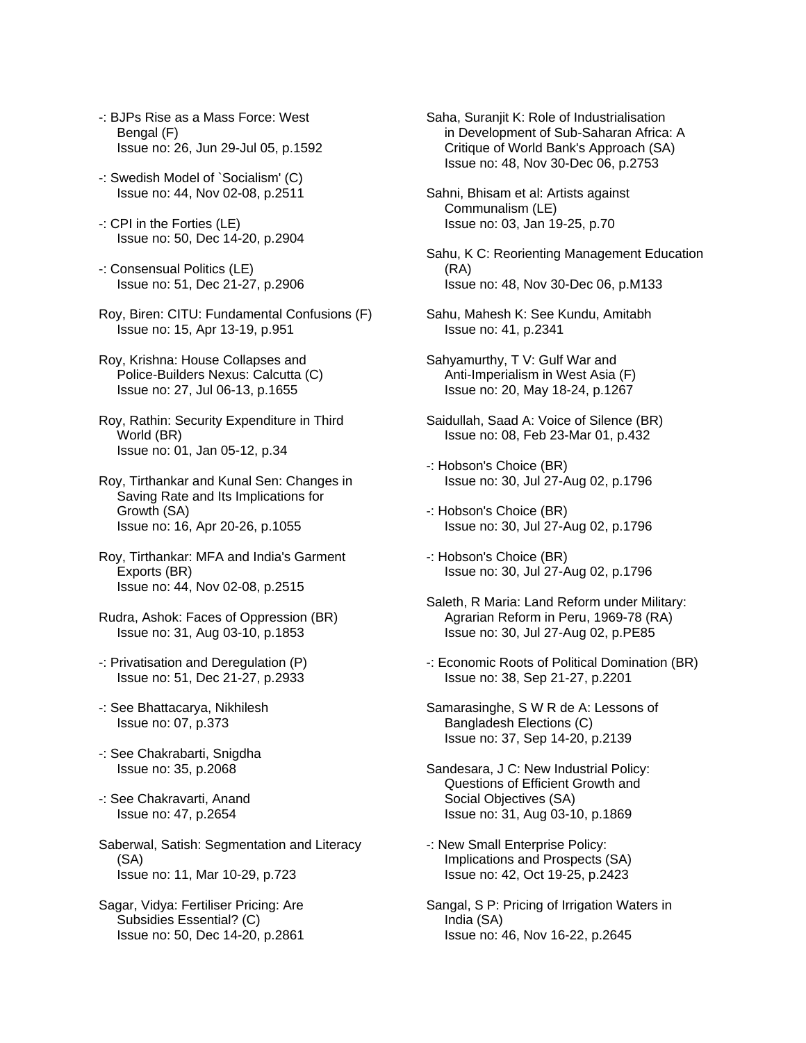- -: BJPs Rise as a Mass Force: West Bengal (F) Issue no: 26, Jun 29-Jul 05, p.1592
- -: Swedish Model of `Socialism' (C) Issue no: 44, Nov 02-08, p.2511
- -: CPI in the Forties (LE) Issue no: 50, Dec 14-20, p.2904
- -: Consensual Politics (LE) Issue no: 51, Dec 21-27, p.2906
- Roy, Biren: CITU: Fundamental Confusions (F) Issue no: 15, Apr 13-19, p.951
- Roy, Krishna: House Collapses and Police-Builders Nexus: Calcutta (C) Issue no: 27, Jul 06-13, p.1655
- Roy, Rathin: Security Expenditure in Third World (BR) Issue no: 01, Jan 05-12, p.34
- Roy, Tirthankar and Kunal Sen: Changes in Saving Rate and Its Implications for Growth (SA) Issue no: 16, Apr 20-26, p.1055
- Roy, Tirthankar: MFA and India's Garment Exports (BR) Issue no: 44, Nov 02-08, p.2515
- Rudra, Ashok: Faces of Oppression (BR) Issue no: 31, Aug 03-10, p.1853
- -: Privatisation and Deregulation (P) Issue no: 51, Dec 21-27, p.2933
- -: See Bhattacarya, Nikhilesh Issue no: 07, p.373
- -: See Chakrabarti, Snigdha Issue no: 35, p.2068
- -: See Chakravarti, Anand Issue no: 47, p.2654
- Saberwal, Satish: Segmentation and Literacy (SA) Issue no: 11, Mar 10-29, p.723
- Sagar, Vidya: Fertiliser Pricing: Are Subsidies Essential? (C) Issue no: 50, Dec 14-20, p.2861
- Saha, Suranjit K: Role of Industrialisation in Development of Sub-Saharan Africa: A Critique of World Bank's Approach (SA) Issue no: 48, Nov 30-Dec 06, p.2753
- Sahni, Bhisam et al: Artists against Communalism (LE) Issue no: 03, Jan 19-25, p.70
- Sahu, K C: Reorienting Management Education (RA) Issue no: 48, Nov 30-Dec 06, p.M133
- Sahu, Mahesh K: See Kundu, Amitabh Issue no: 41, p.2341
- Sahyamurthy, T V: Gulf War and Anti-Imperialism in West Asia (F) Issue no: 20, May 18-24, p.1267
- Saidullah, Saad A: Voice of Silence (BR) Issue no: 08, Feb 23-Mar 01, p.432
- -: Hobson's Choice (BR) Issue no: 30, Jul 27-Aug 02, p.1796
- -: Hobson's Choice (BR) Issue no: 30, Jul 27-Aug 02, p.1796
- -: Hobson's Choice (BR) Issue no: 30, Jul 27-Aug 02, p.1796
- Saleth, R Maria: Land Reform under Military: Agrarian Reform in Peru, 1969-78 (RA) Issue no: 30, Jul 27-Aug 02, p.PE85
- -: Economic Roots of Political Domination (BR) Issue no: 38, Sep 21-27, p.2201
- Samarasinghe, S W R de A: Lessons of Bangladesh Elections (C) Issue no: 37, Sep 14-20, p.2139
- Sandesara, J C: New Industrial Policy: Questions of Efficient Growth and Social Objectives (SA) Issue no: 31, Aug 03-10, p.1869
- -: New Small Enterprise Policy: Implications and Prospects (SA) Issue no: 42, Oct 19-25, p.2423
- Sangal, S P: Pricing of Irrigation Waters in India (SA) Issue no: 46, Nov 16-22, p.2645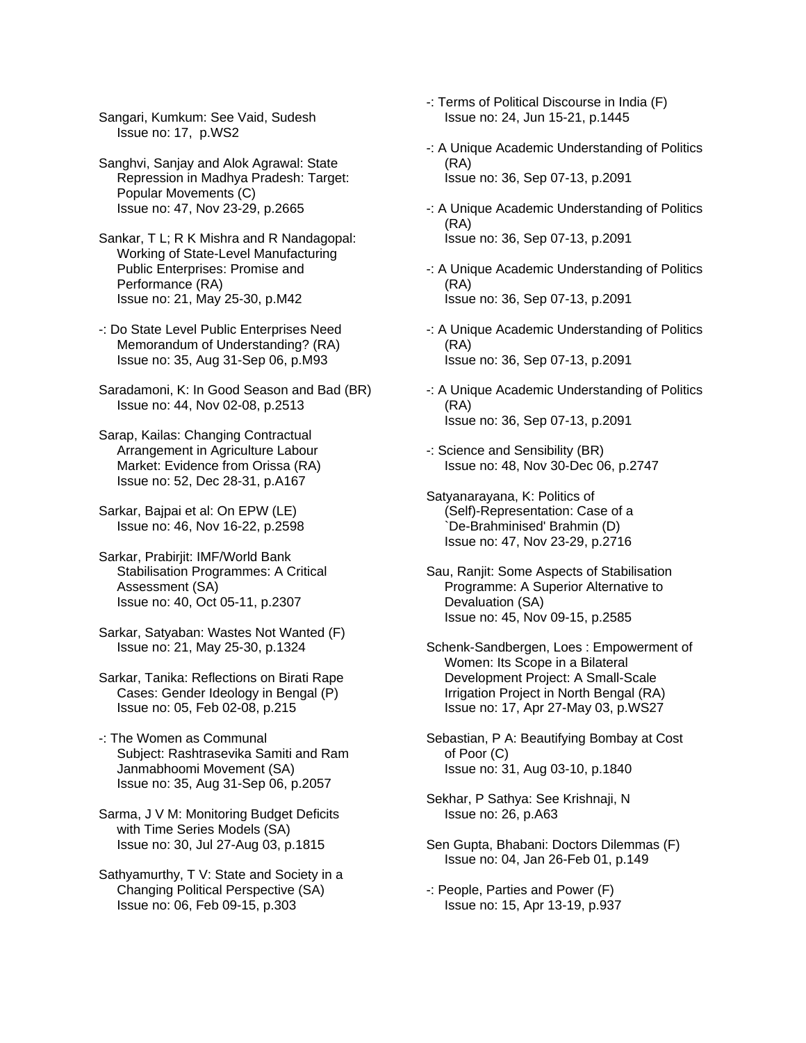Sangari, Kumkum: See Vaid, Sudesh Issue no: 17, p.WS2

Sanghvi, Sanjay and Alok Agrawal: State Repression in Madhya Pradesh: Target: Popular Movements (C) Issue no: 47, Nov 23-29, p.2665

Sankar, T L; R K Mishra and R Nandagopal: Working of State-Level Manufacturing Public Enterprises: Promise and Performance (RA) Issue no: 21, May 25-30, p.M42

-: Do State Level Public Enterprises Need Memorandum of Understanding? (RA) Issue no: 35, Aug 31-Sep 06, p.M93

Saradamoni, K: In Good Season and Bad (BR) Issue no: 44, Nov 02-08, p.2513

Sarap, Kailas: Changing Contractual Arrangement in Agriculture Labour Market: Evidence from Orissa (RA) Issue no: 52, Dec 28-31, p.A167

Sarkar, Bajpai et al: On EPW (LE) Issue no: 46, Nov 16-22, p.2598

Sarkar, Prabirjit: IMF/World Bank Stabilisation Programmes: A Critical Assessment (SA) Issue no: 40, Oct 05-11, p.2307

Sarkar, Satyaban: Wastes Not Wanted (F) Issue no: 21, May 25-30, p.1324

Sarkar, Tanika: Reflections on Birati Rape Cases: Gender Ideology in Bengal (P) Issue no: 05, Feb 02-08, p.215

-: The Women as Communal Subject: Rashtrasevika Samiti and Ram Janmabhoomi Movement (SA) Issue no: 35, Aug 31-Sep 06, p.2057

Sarma, J V M: Monitoring Budget Deficits with Time Series Models (SA) Issue no: 30, Jul 27-Aug 03, p.1815

Sathyamurthy, T V: State and Society in a Changing Political Perspective (SA) Issue no: 06, Feb 09-15, p.303

- -: Terms of Political Discourse in India (F) Issue no: 24, Jun 15-21, p.1445
- -: A Unique Academic Understanding of Politics (RA) Issue no: 36, Sep 07-13, p.2091
- -: A Unique Academic Understanding of Politics (RA) Issue no: 36, Sep 07-13, p.2091
- -: A Unique Academic Understanding of Politics (RA) Issue no: 36, Sep 07-13, p.2091

-: A Unique Academic Understanding of Politics (RA) Issue no: 36, Sep 07-13, p.2091

- -: A Unique Academic Understanding of Politics (RA) Issue no: 36, Sep 07-13, p.2091
- -: Science and Sensibility (BR) Issue no: 48, Nov 30-Dec 06, p.2747

Satyanarayana, K: Politics of (Self)-Representation: Case of a `De-Brahminised' Brahmin (D) Issue no: 47, Nov 23-29, p.2716

- Sau, Ranjit: Some Aspects of Stabilisation Programme: A Superior Alternative to Devaluation (SA) Issue no: 45, Nov 09-15, p.2585
- Schenk-Sandbergen, Loes : Empowerment of Women: Its Scope in a Bilateral Development Project: A Small-Scale Irrigation Project in North Bengal (RA) Issue no: 17, Apr 27-May 03, p.WS27
- Sebastian, P A: Beautifying Bombay at Cost of Poor (C) Issue no: 31, Aug 03-10, p.1840
- Sekhar, P Sathya: See Krishnaji, N Issue no: 26, p.A63
- Sen Gupta, Bhabani: Doctors Dilemmas (F) Issue no: 04, Jan 26-Feb 01, p.149
- -: People, Parties and Power (F) Issue no: 15, Apr 13-19, p.937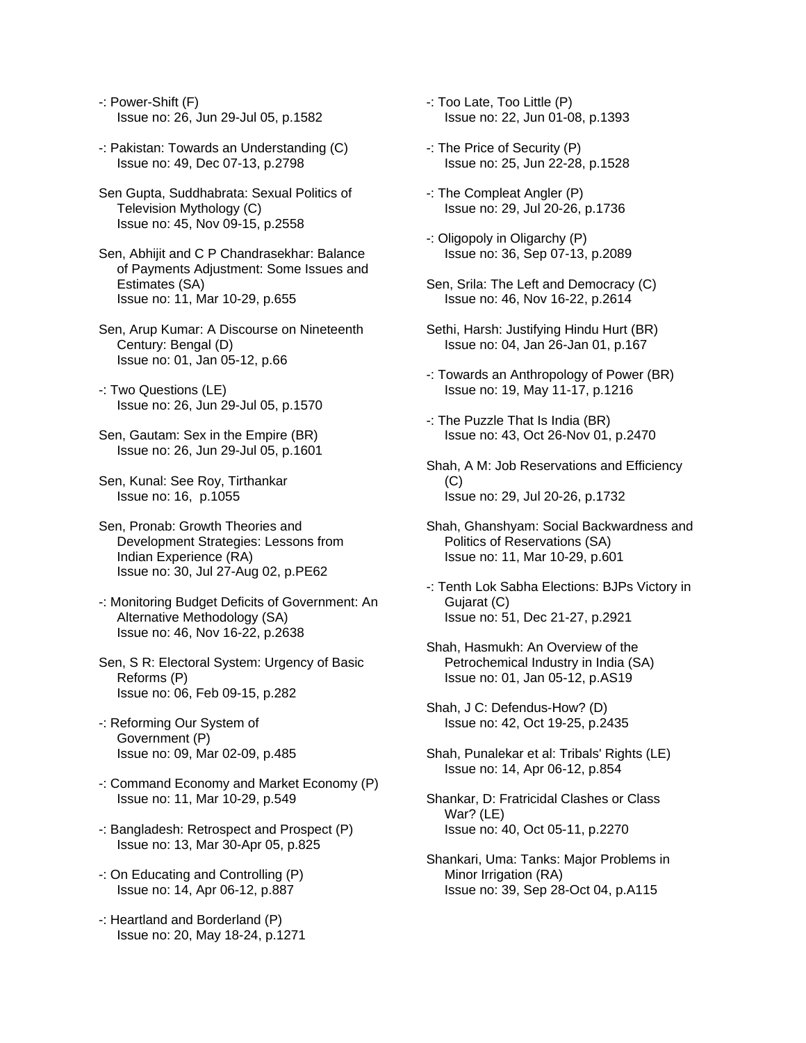- -: Power-Shift (F) Issue no: 26, Jun 29-Jul 05, p.1582
- -: Pakistan: Towards an Understanding (C) Issue no: 49, Dec 07-13, p.2798
- Sen Gupta, Suddhabrata: Sexual Politics of Television Mythology (C) Issue no: 45, Nov 09-15, p.2558
- Sen, Abhijit and C P Chandrasekhar: Balance of Payments Adjustment: Some Issues and Estimates (SA) Issue no: 11, Mar 10-29, p.655
- Sen, Arup Kumar: A Discourse on Nineteenth Century: Bengal (D) Issue no: 01, Jan 05-12, p.66
- -: Two Questions (LE) Issue no: 26, Jun 29-Jul 05, p.1570
- Sen, Gautam: Sex in the Empire (BR) Issue no: 26, Jun 29-Jul 05, p.1601
- Sen, Kunal: See Roy, Tirthankar Issue no: 16, p.1055
- Sen, Pronab: Growth Theories and Development Strategies: Lessons from Indian Experience (RA) Issue no: 30, Jul 27-Aug 02, p.PE62
- -: Monitoring Budget Deficits of Government: An Alternative Methodology (SA) Issue no: 46, Nov 16-22, p.2638
- Sen, S R: Electoral System: Urgency of Basic Reforms (P) Issue no: 06, Feb 09-15, p.282
- -: Reforming Our System of Government (P) Issue no: 09, Mar 02-09, p.485
- -: Command Economy and Market Economy (P) Issue no: 11, Mar 10-29, p.549
- -: Bangladesh: Retrospect and Prospect (P) Issue no: 13, Mar 30-Apr 05, p.825
- -: On Educating and Controlling (P) Issue no: 14, Apr 06-12, p.887
- -: Heartland and Borderland (P) Issue no: 20, May 18-24, p.1271
- -: Too Late, Too Little (P) Issue no: 22, Jun 01-08, p.1393
- -: The Price of Security (P) Issue no: 25, Jun 22-28, p.1528
- -: The Compleat Angler (P) Issue no: 29, Jul 20-26, p.1736
- -: Oligopoly in Oligarchy (P) Issue no: 36, Sep 07-13, p.2089
- Sen, Srila: The Left and Democracy (C) Issue no: 46, Nov 16-22, p.2614
- Sethi, Harsh: Justifying Hindu Hurt (BR) Issue no: 04, Jan 26-Jan 01, p.167
- -: Towards an Anthropology of Power (BR) Issue no: 19, May 11-17, p.1216
- -: The Puzzle That Is India (BR) Issue no: 43, Oct 26-Nov 01, p.2470
- Shah, A M: Job Reservations and Efficiency  $(C)$ Issue no: 29, Jul 20-26, p.1732
- Shah, Ghanshyam: Social Backwardness and Politics of Reservations (SA) Issue no: 11, Mar 10-29, p.601
- -: Tenth Lok Sabha Elections: BJPs Victory in Gujarat (C) Issue no: 51, Dec 21-27, p.2921
- Shah, Hasmukh: An Overview of the Petrochemical Industry in India (SA) Issue no: 01, Jan 05-12, p.AS19
- Shah, J C: Defendus-How? (D) Issue no: 42, Oct 19-25, p.2435
- Shah, Punalekar et al: Tribals' Rights (LE) Issue no: 14, Apr 06-12, p.854
- Shankar, D: Fratricidal Clashes or Class War? (LE) Issue no: 40, Oct 05-11, p.2270
- Shankari, Uma: Tanks: Major Problems in Minor Irrigation (RA) Issue no: 39, Sep 28-Oct 04, p.A115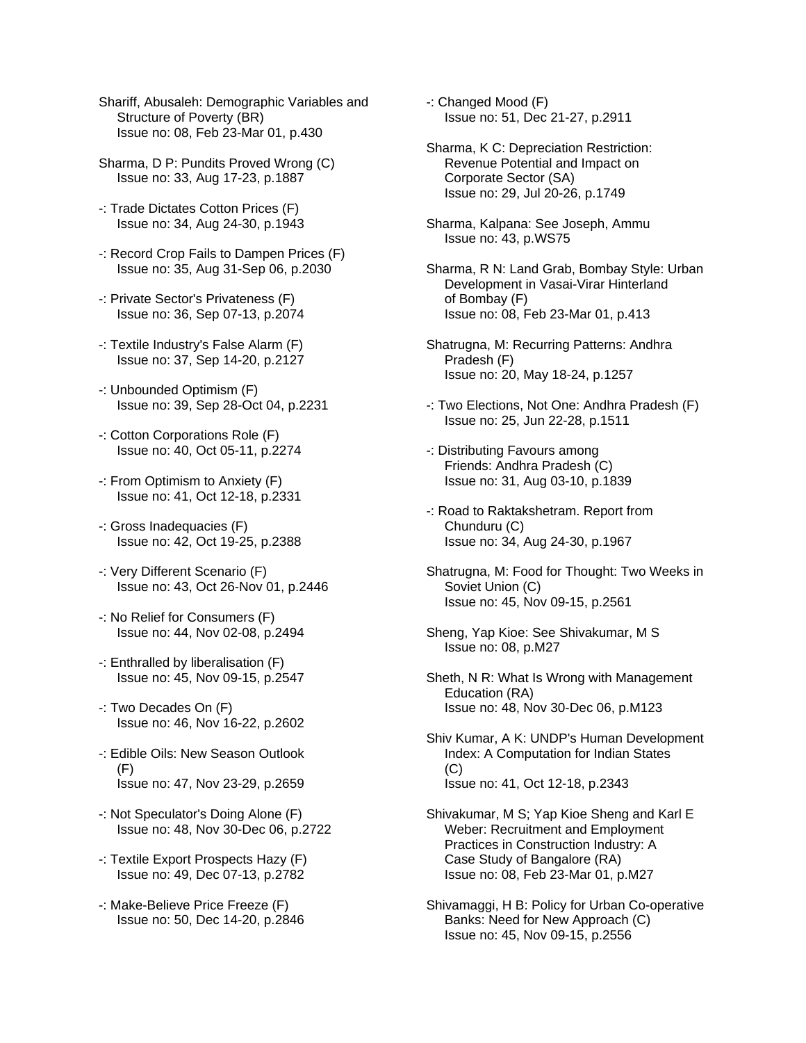- Shariff, Abusaleh: Demographic Variables and Structure of Poverty (BR) Issue no: 08, Feb 23-Mar 01, p.430
- Sharma, D P: Pundits Proved Wrong (C) Issue no: 33, Aug 17-23, p.1887
- -: Trade Dictates Cotton Prices (F) Issue no: 34, Aug 24-30, p.1943
- -: Record Crop Fails to Dampen Prices (F) Issue no: 35, Aug 31-Sep 06, p.2030
- -: Private Sector's Privateness (F) Issue no: 36, Sep 07-13, p.2074
- -: Textile Industry's False Alarm (F) Issue no: 37, Sep 14-20, p.2127
- -: Unbounded Optimism (F) Issue no: 39, Sep 28-Oct 04, p.2231
- -: Cotton Corporations Role (F) Issue no: 40, Oct 05-11, p.2274
- -: From Optimism to Anxiety (F) Issue no: 41, Oct 12-18, p.2331
- -: Gross Inadequacies (F) Issue no: 42, Oct 19-25, p.2388
- -: Very Different Scenario (F) Issue no: 43, Oct 26-Nov 01, p.2446
- -: No Relief for Consumers (F) Issue no: 44, Nov 02-08, p.2494
- -: Enthralled by liberalisation (F) Issue no: 45, Nov 09-15, p.2547
- -: Two Decades On (F) Issue no: 46, Nov 16-22, p.2602
- -: Edible Oils: New Season Outlook  $(F)$ Issue no: 47, Nov 23-29, p.2659
- -: Not Speculator's Doing Alone (F) Issue no: 48, Nov 30-Dec 06, p.2722
- -: Textile Export Prospects Hazy (F) Issue no: 49, Dec 07-13, p.2782
- -: Make-Believe Price Freeze (F) Issue no: 50, Dec 14-20, p.2846

-: Changed Mood (F) Issue no: 51, Dec 21-27, p.2911

- Sharma, K C: Depreciation Restriction: Revenue Potential and Impact on Corporate Sector (SA) Issue no: 29, Jul 20-26, p.1749
- Sharma, Kalpana: See Joseph, Ammu Issue no: 43, p.WS75
- Sharma, R N: Land Grab, Bombay Style: Urban Development in Vasai-Virar Hinterland of Bombay (F) Issue no: 08, Feb 23-Mar 01, p.413
- Shatrugna, M: Recurring Patterns: Andhra Pradesh (F) Issue no: 20, May 18-24, p.1257
- -: Two Elections, Not One: Andhra Pradesh (F) Issue no: 25, Jun 22-28, p.1511
- -: Distributing Favours among Friends: Andhra Pradesh (C) Issue no: 31, Aug 03-10, p.1839
- -: Road to Raktakshetram. Report from Chunduru (C) Issue no: 34, Aug 24-30, p.1967
- Shatrugna, M: Food for Thought: Two Weeks in Soviet Union (C) Issue no: 45, Nov 09-15, p.2561
- Sheng, Yap Kioe: See Shivakumar, M S Issue no: 08, p.M27
- Sheth, N R: What Is Wrong with Management Education (RA) Issue no: 48, Nov 30-Dec 06, p.M123
- Shiv Kumar, A K: UNDP's Human Development Index: A Computation for Indian States (C) Issue no: 41, Oct 12-18, p.2343
- Shivakumar, M S; Yap Kioe Sheng and Karl E Weber: Recruitment and Employment Practices in Construction Industry: A Case Study of Bangalore (RA) Issue no: 08, Feb 23-Mar 01, p.M27
- Shivamaggi, H B: Policy for Urban Co-operative Banks: Need for New Approach (C) Issue no: 45, Nov 09-15, p.2556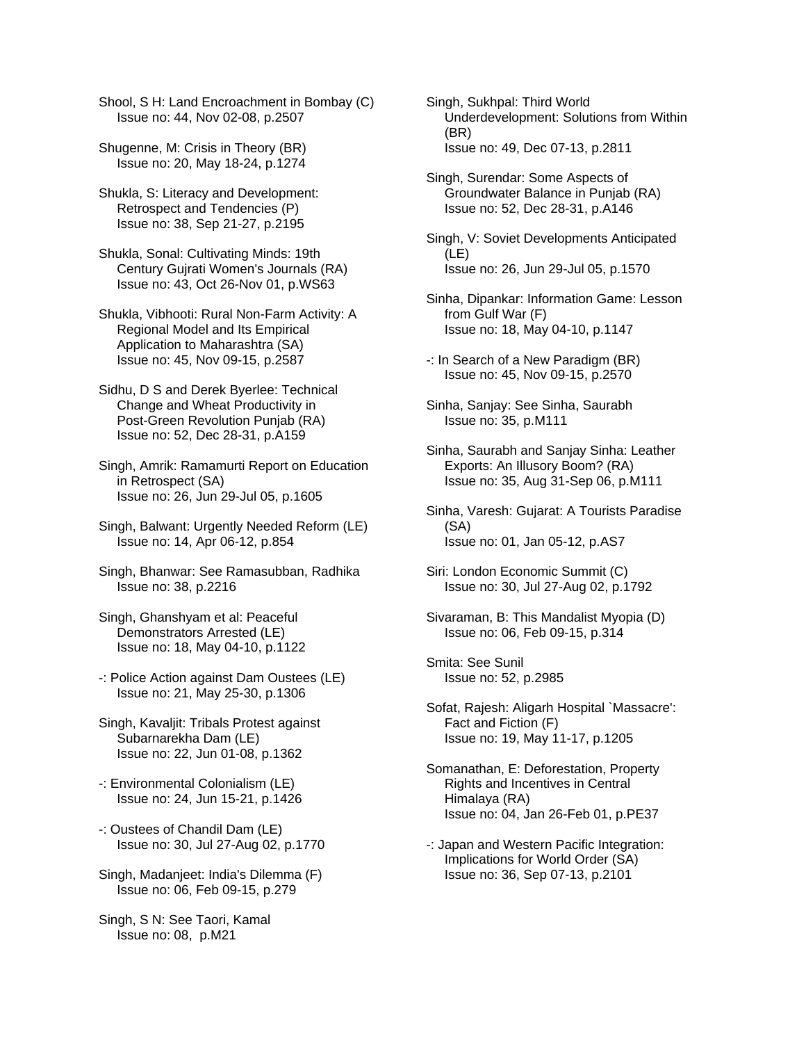Shool, S H: Land Encroachment in Bombay (C) Issue no: 44, Nov 02-08, p.2507

Shugenne, M: Crisis in Theory (BR) Issue no: 20, May 18-24, p.1274

Shukla, S: Literacy and Development: Retrospect and Tendencies (P) Issue no: 38, Sep 21-27, p.2195

Shukla, Sonal: Cultivating Minds: 19th Century Gujrati Women's Journals (RA) Issue no: 43, Oct 26-Nov 01, p.WS63

Shukla, Vibhooti: Rural Non-Farm Activity: A Regional Model and Its Empirical Application to Maharashtra (SA) Issue no: 45, Nov 09-15, p.2587

Sidhu, D S and Derek Byerlee: Technical Change and Wheat Productivity in Post-Green Revolution Punjab (RA) Issue no: 52, Dec 28-31, p.A159

Singh, Amrik: Ramamurti Report on Education in Retrospect (SA) Issue no: 26, Jun 29-Jul 05, p.1605

Singh, Balwant: Urgently Needed Reform (LE) Issue no: 14, Apr 06-12, p.854

Singh, Bhanwar: See Ramasubban, Radhika Issue no: 38, p.2216

Singh, Ghanshyam et al: Peaceful Demonstrators Arrested (LE) Issue no: 18, May 04-10, p.1122

-: Police Action against Dam Oustees (LE) Issue no: 21, May 25-30, p.1306

Singh, Kavaljit: Tribals Protest against Subarnarekha Dam (LE) Issue no: 22, Jun 01-08, p.1362

- -: Environmental Colonialism (LE) Issue no: 24, Jun 15-21, p.1426
- -: Oustees of Chandil Dam (LE) Issue no: 30, Jul 27-Aug 02, p.1770

Singh, Madanjeet: India's Dilemma (F) Issue no: 06, Feb 09-15, p.279

Singh, S N: See Taori, Kamal Issue no: 08, p.M21

Singh, Sukhpal: Third World Underdevelopment: Solutions from Within (BR) Issue no: 49, Dec 07-13, p.2811

Singh, Surendar: Some Aspects of Groundwater Balance in Punjab (RA) Issue no: 52, Dec 28-31, p.A146

Singh, V: Soviet Developments Anticipated (LE) Issue no: 26, Jun 29-Jul 05, p.1570

- Sinha, Dipankar: Information Game: Lesson from Gulf War (F) Issue no: 18, May 04-10, p.1147
- -: In Search of a New Paradigm (BR) Issue no: 45, Nov 09-15, p.2570
- Sinha, Sanjay: See Sinha, Saurabh Issue no: 35, p.M111
- Sinha, Saurabh and Sanjay Sinha: Leather Exports: An Illusory Boom? (RA) Issue no: 35, Aug 31-Sep 06, p.M111
- Sinha, Varesh: Gujarat: A Tourists Paradise (SA) Issue no: 01, Jan 05-12, p.AS7
- Siri: London Economic Summit (C) Issue no: 30, Jul 27-Aug 02, p.1792
- Sivaraman, B: This Mandalist Myopia (D) Issue no: 06, Feb 09-15, p.314

Smita: See Sunil Issue no: 52, p.2985

- Sofat, Rajesh: Aligarh Hospital `Massacre': Fact and Fiction (F) Issue no: 19, May 11-17, p.1205
- Somanathan, E: Deforestation, Property Rights and Incentives in Central Himalaya (RA) Issue no: 04, Jan 26-Feb 01, p.PE37
- -: Japan and Western Pacific Integration: Implications for World Order (SA) Issue no: 36, Sep 07-13, p.2101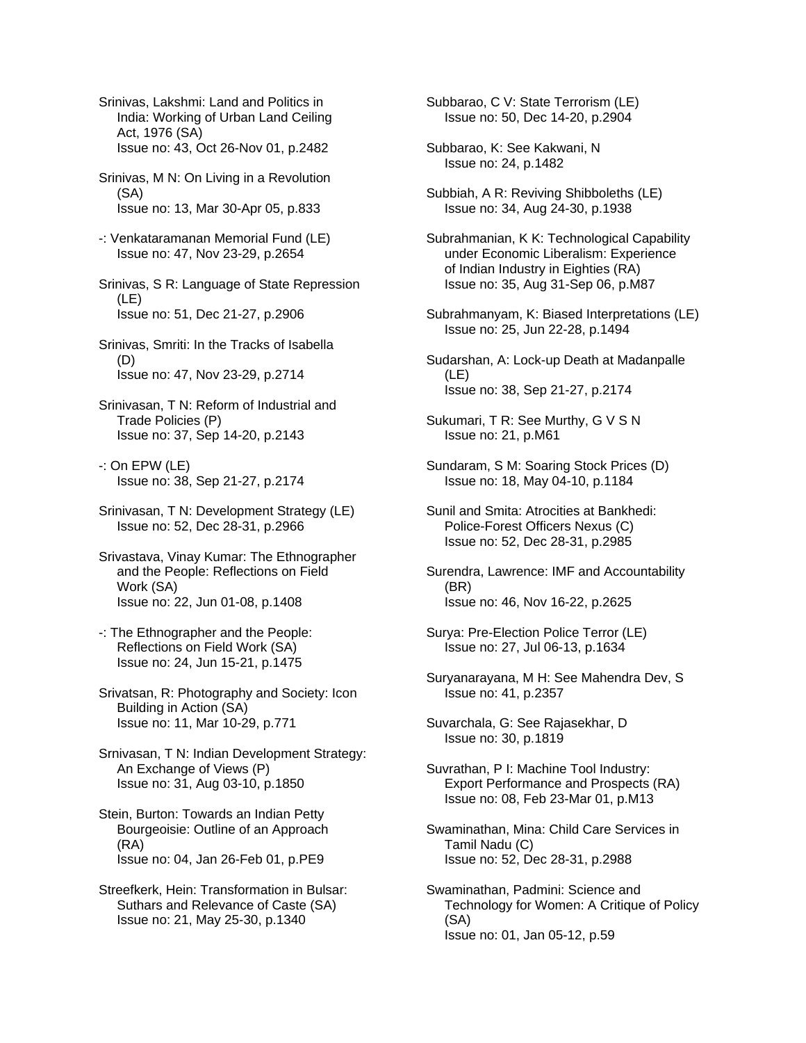Srinivas, Lakshmi: Land and Politics in India: Working of Urban Land Ceiling Act, 1976 (SA) Issue no: 43, Oct 26-Nov 01, p.2482

- Srinivas, M N: On Living in a Revolution (SA) Issue no: 13, Mar 30-Apr 05, p.833
- -: Venkataramanan Memorial Fund (LE) Issue no: 47, Nov 23-29, p.2654
- Srinivas, S R: Language of State Repression (LE) Issue no: 51, Dec 21-27, p.2906
- Srinivas, Smriti: In the Tracks of Isabella (D) Issue no: 47, Nov 23-29, p.2714
- Srinivasan, T N: Reform of Industrial and Trade Policies (P) Issue no: 37, Sep 14-20, p.2143
- -: On EPW (LE) Issue no: 38, Sep 21-27, p.2174
- Srinivasan, T N: Development Strategy (LE) Issue no: 52, Dec 28-31, p.2966
- Srivastava, Vinay Kumar: The Ethnographer and the People: Reflections on Field Work (SA) Issue no: 22, Jun 01-08, p.1408
- -: The Ethnographer and the People: Reflections on Field Work (SA) Issue no: 24, Jun 15-21, p.1475
- Srivatsan, R: Photography and Society: Icon Building in Action (SA) Issue no: 11, Mar 10-29, p.771
- Srnivasan, T N: Indian Development Strategy: An Exchange of Views (P) Issue no: 31, Aug 03-10, p.1850
- Stein, Burton: Towards an Indian Petty Bourgeoisie: Outline of an Approach (RA) Issue no: 04, Jan 26-Feb 01, p.PE9
- Streefkerk, Hein: Transformation in Bulsar: Suthars and Relevance of Caste (SA) Issue no: 21, May 25-30, p.1340

Subbarao, C V: State Terrorism (LE) Issue no: 50, Dec 14-20, p.2904

- Subbarao, K: See Kakwani, N Issue no: 24, p.1482
- Subbiah, A R: Reviving Shibboleths (LE) Issue no: 34, Aug 24-30, p.1938
- Subrahmanian, K K: Technological Capability under Economic Liberalism: Experience of Indian Industry in Eighties (RA) Issue no: 35, Aug 31-Sep 06, p.M87
- Subrahmanyam, K: Biased Interpretations (LE) Issue no: 25, Jun 22-28, p.1494
- Sudarshan, A: Lock-up Death at Madanpalle (LE) Issue no: 38, Sep 21-27, p.2174
- Sukumari, T R: See Murthy, G V S N Issue no: 21, p.M61
- Sundaram, S M: Soaring Stock Prices (D) Issue no: 18, May 04-10, p.1184
- Sunil and Smita: Atrocities at Bankhedi: Police-Forest Officers Nexus (C) Issue no: 52, Dec 28-31, p.2985
- Surendra, Lawrence: IMF and Accountability (BR) Issue no: 46, Nov 16-22, p.2625
- Surya: Pre-Election Police Terror (LE) Issue no: 27, Jul 06-13, p.1634
- Suryanarayana, M H: See Mahendra Dev, S Issue no: 41, p.2357
- Suvarchala, G: See Rajasekhar, D Issue no: 30, p.1819
- Suvrathan, P I: Machine Tool Industry: Export Performance and Prospects (RA) Issue no: 08, Feb 23-Mar 01, p.M13
- Swaminathan, Mina: Child Care Services in Tamil Nadu (C) Issue no: 52, Dec 28-31, p.2988
- Swaminathan, Padmini: Science and Technology for Women: A Critique of Policy (SA) Issue no: 01, Jan 05-12, p.59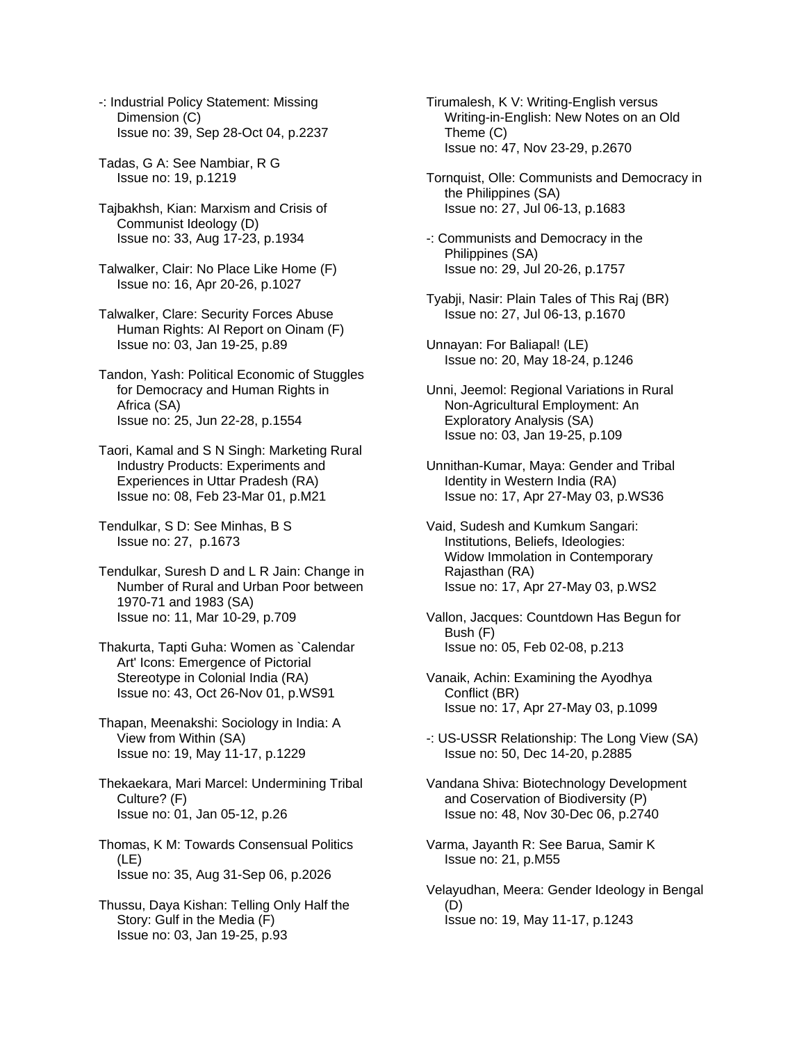-: Industrial Policy Statement: Missing Dimension (C) Issue no: 39, Sep 28-Oct 04, p.2237

Tadas, G A: See Nambiar, R G Issue no: 19, p.1219

Tajbakhsh, Kian: Marxism and Crisis of Communist Ideology (D) Issue no: 33, Aug 17-23, p.1934

Talwalker, Clair: No Place Like Home (F) Issue no: 16, Apr 20-26, p.1027

Talwalker, Clare: Security Forces Abuse Human Rights: AI Report on Oinam (F) Issue no: 03, Jan 19-25, p.89

Tandon, Yash: Political Economic of Stuggles for Democracy and Human Rights in Africa (SA) Issue no: 25, Jun 22-28, p.1554

Taori, Kamal and S N Singh: Marketing Rural Industry Products: Experiments and Experiences in Uttar Pradesh (RA) Issue no: 08, Feb 23-Mar 01, p.M21

Tendulkar, S D: See Minhas, B S Issue no: 27, p.1673

Tendulkar, Suresh D and L R Jain: Change in Number of Rural and Urban Poor between 1970-71 and 1983 (SA) Issue no: 11, Mar 10-29, p.709

Thakurta, Tapti Guha: Women as `Calendar Art' Icons: Emergence of Pictorial Stereotype in Colonial India (RA) Issue no: 43, Oct 26-Nov 01, p.WS91

Thapan, Meenakshi: Sociology in India: A View from Within (SA) Issue no: 19, May 11-17, p.1229

Thekaekara, Mari Marcel: Undermining Tribal Culture? (F) Issue no: 01, Jan 05-12, p.26

Thomas, K M: Towards Consensual Politics (LE) Issue no: 35, Aug 31-Sep 06, p.2026

Thussu, Daya Kishan: Telling Only Half the Story: Gulf in the Media (F) Issue no: 03, Jan 19-25, p.93

Tirumalesh, K V: Writing-English versus Writing-in-English: New Notes on an Old Theme (C) Issue no: 47, Nov 23-29, p.2670

Tornquist, Olle: Communists and Democracy in the Philippines (SA) Issue no: 27, Jul 06-13, p.1683

-: Communists and Democracy in the Philippines (SA) Issue no: 29, Jul 20-26, p.1757

Tyabji, Nasir: Plain Tales of This Raj (BR) Issue no: 27, Jul 06-13, p.1670

Unnayan: For Baliapal! (LE) Issue no: 20, May 18-24, p.1246

Unni, Jeemol: Regional Variations in Rural Non-Agricultural Employment: An Exploratory Analysis (SA) Issue no: 03, Jan 19-25, p.109

Unnithan-Kumar, Maya: Gender and Tribal Identity in Western India (RA) Issue no: 17, Apr 27-May 03, p.WS36

Vaid, Sudesh and Kumkum Sangari: Institutions, Beliefs, Ideologies: Widow Immolation in Contemporary Rajasthan (RA) Issue no: 17, Apr 27-May 03, p.WS2

Vallon, Jacques: Countdown Has Begun for Bush (F) Issue no: 05, Feb 02-08, p.213

Vanaik, Achin: Examining the Ayodhya Conflict (BR) Issue no: 17, Apr 27-May 03, p.1099

-: US-USSR Relationship: The Long View (SA) Issue no: 50, Dec 14-20, p.2885

Vandana Shiva: Biotechnology Development and Coservation of Biodiversity (P) Issue no: 48, Nov 30-Dec 06, p.2740

Varma, Jayanth R: See Barua, Samir K Issue no: 21, p.M55

Velayudhan, Meera: Gender Ideology in Bengal (D) Issue no: 19, May 11-17, p.1243